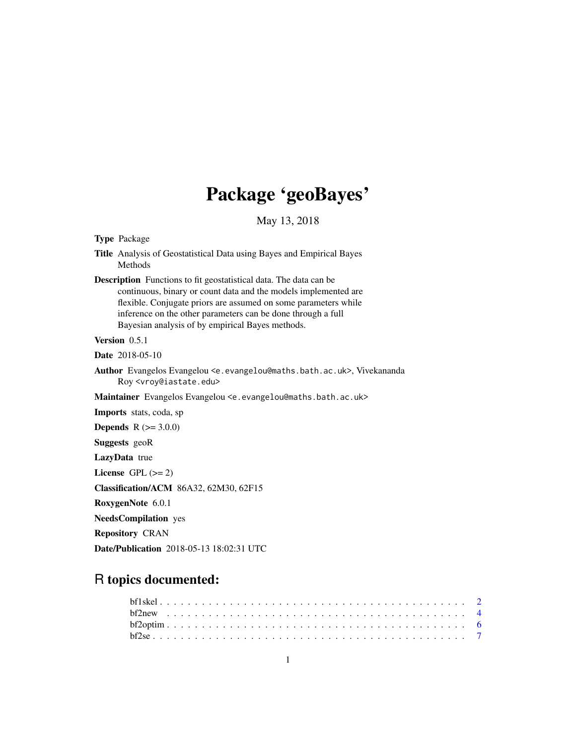## Package 'geoBayes'

May 13, 2018

<span id="page-0-0"></span>Type Package

Title Analysis of Geostatistical Data using Bayes and Empirical Bayes Methods

Description Functions to fit geostatistical data. The data can be continuous, binary or count data and the models implemented are flexible. Conjugate priors are assumed on some parameters while inference on the other parameters can be done through a full Bayesian analysis of by empirical Bayes methods.

Version 0.5.1

Date 2018-05-10

Author Evangelos Evangelou <e.evangelou@maths.bath.ac.uk>, Vivekananda Roy <vroy@iastate.edu>

Maintainer Evangelos Evangelou <e.evangelou@maths.bath.ac.uk>

Imports stats, coda, sp

**Depends** R  $(>= 3.0.0)$ 

Suggests geoR

LazyData true

License GPL  $(>= 2)$ 

Classification/ACM 86A32, 62M30, 62F15

RoxygenNote 6.0.1

NeedsCompilation yes

Repository CRAN

Date/Publication 2018-05-13 18:02:31 UTC

## R topics documented: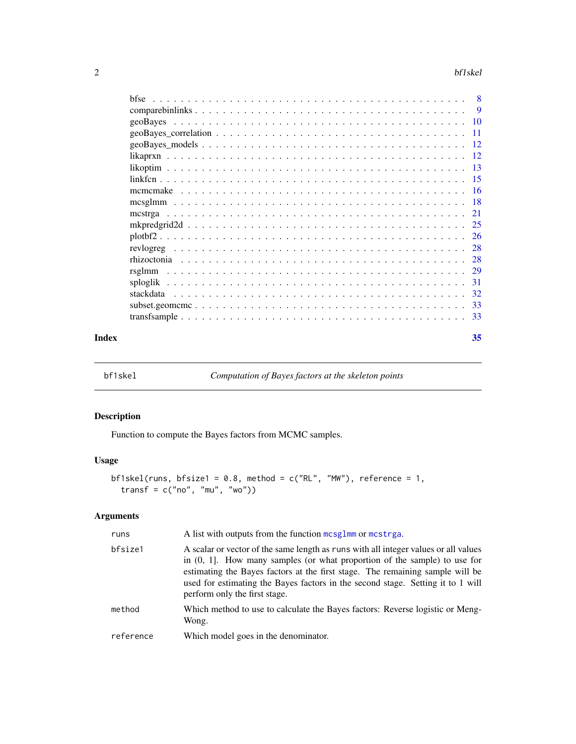<span id="page-1-0"></span>

|           | -8  |
|-----------|-----|
|           | -9  |
| geoBayes  |     |
|           | -11 |
|           |     |
|           |     |
|           |     |
|           |     |
|           |     |
|           |     |
|           | 21  |
|           |     |
|           |     |
|           |     |
|           | 28  |
|           | 29  |
|           | 31  |
| stackdata | -32 |
|           | 33  |
|           |     |
|           |     |

#### **Index** [35](#page-34-0)

<span id="page-1-1"></span>bf1skel *Computation of Bayes factors at the skeleton points*

## Description

Function to compute the Bayes factors from MCMC samples.

## Usage

```
bf1skel(runs, bfsize1 = 0.8, method = c("RL", "MW"), reference = 1,
  transf = c("no", "mu", "wo")
```

| runs      | A list with outputs from the function mcsglmm or mcstrga.                                                                                                                                                                                                                                                                                                                |
|-----------|--------------------------------------------------------------------------------------------------------------------------------------------------------------------------------------------------------------------------------------------------------------------------------------------------------------------------------------------------------------------------|
| bfsize1   | A scalar or vector of the same length as runs with all integer values or all values<br>in $(0, 1]$ . How many samples (or what proportion of the sample) to use for<br>estimating the Bayes factors at the first stage. The remaining sample will be<br>used for estimating the Bayes factors in the second stage. Setting it to 1 will<br>perform only the first stage. |
| method    | Which method to use to calculate the Bayes factors: Reverse logistic or Meng-<br>Wong.                                                                                                                                                                                                                                                                                   |
| reference | Which model goes in the denominator.                                                                                                                                                                                                                                                                                                                                     |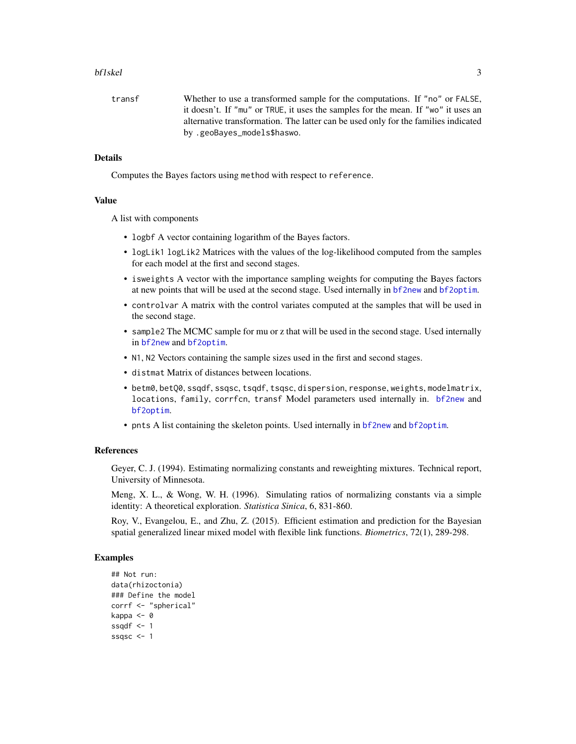#### <span id="page-2-0"></span>bf1skel 3

transf Whether to use a transformed sample for the computations. If "no" or FALSE, it doesn't. If "mu" or TRUE, it uses the samples for the mean. If "wo" it uses an alternative transformation. The latter can be used only for the families indicated by .geoBayes\_models\$haswo.

## **Details**

Computes the Bayes factors using method with respect to reference.

#### Value

A list with components

- logbf A vector containing logarithm of the Bayes factors.
- logLik1 logLik2 Matrices with the values of the log-likelihood computed from the samples for each model at the first and second stages.
- isweights A vector with the importance sampling weights for computing the Bayes factors at new points that will be used at the second stage. Used internally in [bf2new](#page-3-1) and [bf2optim](#page-5-1).
- controlvar A matrix with the control variates computed at the samples that will be used in the second stage.
- sample2 The MCMC sample for mu or z that will be used in the second stage. Used internally in [bf2new](#page-3-1) and [bf2optim](#page-5-1).
- N1, N2 Vectors containing the sample sizes used in the first and second stages.
- distmat Matrix of distances between locations.
- betm0, betQ0, ssqdf, ssqsc, tsqdf, tsqsc, dispersion, response, weights, modelmatrix, locations, family, corrfcn, transf Model parameters used internally in. [bf2new](#page-3-1) and [bf2optim](#page-5-1).
- pnts A list containing the skeleton points. Used internally in [bf2new](#page-3-1) and [bf2optim](#page-5-1).

#### References

Geyer, C. J. (1994). Estimating normalizing constants and reweighting mixtures. Technical report, University of Minnesota.

Meng, X. L., & Wong, W. H. (1996). Simulating ratios of normalizing constants via a simple identity: A theoretical exploration. *Statistica Sinica*, 6, 831-860.

Roy, V., Evangelou, E., and Zhu, Z. (2015). Efficient estimation and prediction for the Bayesian spatial generalized linear mixed model with flexible link functions. *Biometrics*, 72(1), 289-298.

```
## Not run:
data(rhizoctonia)
### Define the model
corrf <- "spherical"
kappa <- 0
ssqdf \leftarrow 1ssqsc <-1
```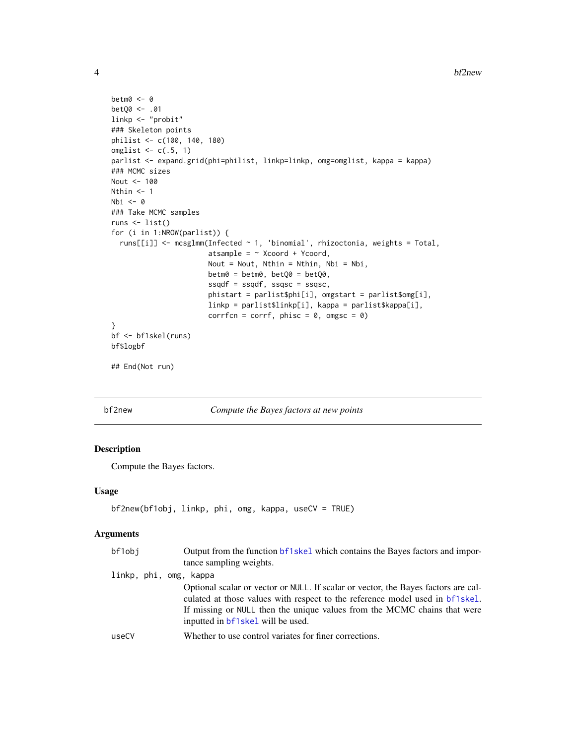```
betm0 <- 0
betQ0 <- .01
linkp <- "probit"
### Skeleton points
philist <- c(100, 140, 180)
omglist \leq c(.5, 1)parlist <- expand.grid(phi=philist, linkp=linkp, omg=omglist, kappa = kappa)
### MCMC sizes
Nout <- 100
Nthin <-1Nbi <- 0
### Take MCMC samples
runs <- list()
for (i in 1:NROW(parlist)) {
  runs[[i]] <- mcsglmm(Infected ~ 1, 'binomial', rhizoctonia, weights = Total,
                       atsample = \sim Xcoord + Ycoord,
                       Nout = Nout, Nthin = Nthin, Nbi = Nbi,
                       betm0 = betm0, betQ0 = betQ0,
                       ssqdf = ssqdf, ssqsc = ssqsc,
                       phistart = parlist$phi[i], omgstart = parlist$omg[i],
                       linkp = parlist$linkp[i], kappa = parlist$kappa[i],
                       corrfcn = corrf, phisc = 0, omgsc = 0)
}
bf <- bf1skel(runs)
bf$logbf
## End(Not run)
```
<span id="page-3-1"></span>

bf2new *Compute the Bayes factors at new points*

## Description

Compute the Bayes factors.

#### Usage

```
bf2new(bf1obj, linkp, phi, omg, kappa, useCV = TRUE)
```

| bf1obj                 | Output from the function bf1skel which contains the Bayes factors and impor-<br>tance sampling weights.                                                                                                                                                                             |
|------------------------|-------------------------------------------------------------------------------------------------------------------------------------------------------------------------------------------------------------------------------------------------------------------------------------|
| linkp, phi, omg, kappa |                                                                                                                                                                                                                                                                                     |
|                        | Optional scalar or vector or NULL. If scalar or vector, the Bayes factors are cal-<br>culated at those values with respect to the reference model used in bf1skel.<br>If missing or NULL then the unique values from the MCMC chains that were<br>inputted in bf1skel will be used. |
| useCV                  | Whether to use control variates for finer corrections.                                                                                                                                                                                                                              |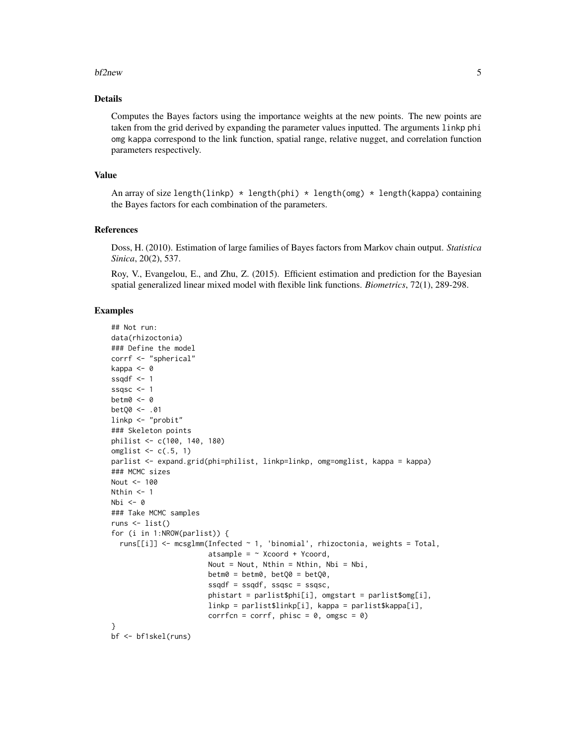#### bf2new 5

## Details

Computes the Bayes factors using the importance weights at the new points. The new points are taken from the grid derived by expanding the parameter values inputted. The arguments linkp phi omg kappa correspond to the link function, spatial range, relative nugget, and correlation function parameters respectively.

#### Value

An array of size length(linkp)  $*$  length(phi)  $*$  length(omg)  $*$  length(kappa) containing the Bayes factors for each combination of the parameters.

#### References

Doss, H. (2010). Estimation of large families of Bayes factors from Markov chain output. *Statistica Sinica*, 20(2), 537.

Roy, V., Evangelou, E., and Zhu, Z. (2015). Efficient estimation and prediction for the Bayesian spatial generalized linear mixed model with flexible link functions. *Biometrics*, 72(1), 289-298.

```
## Not run:
data(rhizoctonia)
### Define the model
corrf <- "spherical"
kappa <- 0
ssqdf \leq -1ssqsc <-1betm0 <- 0
betQ0 <- .01
linkp <- "probit"
### Skeleton points
philist <- c(100, 140, 180)
omglist \leq c(.5, 1)
parlist <- expand.grid(phi=philist, linkp=linkp, omg=omglist, kappa = kappa)
### MCMC sizes
Nout <- 100
Nthin <-1Nbi <- 0
### Take MCMC samples
runs \leftarrow list()
for (i in 1:NROW(parlist)) {
  runs[[i]] <- mcsglmm(Infected ~ 1, 'binomial', rhizoctonia, weights = Total,
                       atsample = \sim Xcoord + Ycoord,
                       Nout = Nout, Nthin = Nthin, Nbi = Nbi,
                       beta = betm0, betQ0 = betQ0,
                       ssqdf = ssqdf, ssqsc = ssqsc,
                       phistart = parlist$phi[i], omgstart = parlist$omg[i],
                       linkp = parlist$linkp[i], kappa = parlist$kappa[i],
                       corrfcn = corrf, phisc = 0, omgsc = 0)
}
bf <- bf1skel(runs)
```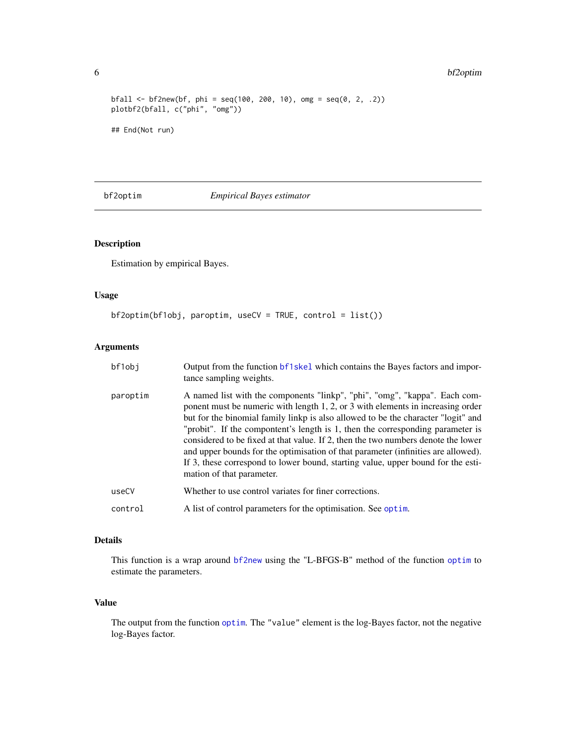```
bfall <- bf2new(bf, phi = seq(100, 200, 10), omg = seq(0, 2, .2))
plotbf2(bfall, c("phi", "omg"))
## End(Not run)
```
<span id="page-5-1"></span>

bf2optim *Empirical Bayes estimator*

## Description

Estimation by empirical Bayes.

## Usage

```
bf2optim(bf1obj, paroptim, useCV = TRUE, control = list())
```
## Arguments

| bf1obj   | Output from the function bf1skel which contains the Bayes factors and impor-<br>tance sampling weights.                                                                                                                                                                                                                                                                                                                                                                                                                                                                                                                         |
|----------|---------------------------------------------------------------------------------------------------------------------------------------------------------------------------------------------------------------------------------------------------------------------------------------------------------------------------------------------------------------------------------------------------------------------------------------------------------------------------------------------------------------------------------------------------------------------------------------------------------------------------------|
| paroptim | A named list with the components "linkp", "phi", "omg", "kappa". Each com-<br>ponent must be numeric with length 1, 2, or 3 with elements in increasing order<br>but for the binomial family linkp is also allowed to be the character "logit" and<br>"probit". If the compontent's length is 1, then the corresponding parameter is<br>considered to be fixed at that value. If 2, then the two numbers denote the lower<br>and upper bounds for the optimisation of that parameter (infinities are allowed).<br>If 3, these correspond to lower bound, starting value, upper bound for the esti-<br>mation of that parameter. |
| useCV    | Whether to use control variates for finer corrections.                                                                                                                                                                                                                                                                                                                                                                                                                                                                                                                                                                          |
| control  | A list of control parameters for the optimisation. See optim.                                                                                                                                                                                                                                                                                                                                                                                                                                                                                                                                                                   |

## Details

This function is a wrap around [bf2new](#page-3-1) using the "L-BFGS-B" method of the function [optim](#page-0-0) to estimate the parameters.

## Value

The output from the function [optim](#page-0-0). The "value" element is the log-Bayes factor, not the negative log-Bayes factor.

<span id="page-5-0"></span>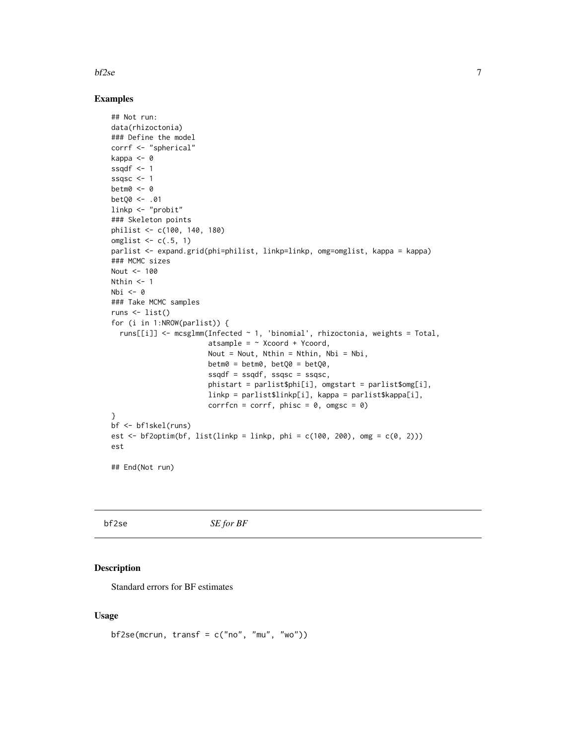#### <span id="page-6-0"></span> $bf2se$  7

#### Examples

```
## Not run:
data(rhizoctonia)
### Define the model
corrf <- "spherical"
kappa <- 0
ssqdf \leq -1ssqsc <- 1
betm0 <- 0
betQ0 <- .01
linkp <- "probit"
### Skeleton points
philist <- c(100, 140, 180)
omglist \leq c(.5, 1)parlist <- expand.grid(phi=philist, linkp=linkp, omg=omglist, kappa = kappa)
### MCMC sizes
Nout <- 100
Nthin <-1Nbi \leftarrow 0### Take MCMC samples
runs \leftarrow list()
for (i in 1:NROW(parlist)) {
  runs[[i]] <- mcsglmm(Infected ~ 1, 'binomial', rhizoctonia, weights = Total,
                        atsample = \sim Xcoord + Ycoord,
                        Nout = Nout, Nthin = Nthin, Nbi = Nbi,
                        beta = betm0, betQ0 = betQ0,
                        s\text{sgd}f = \text{sgd}f, s\text{sgs}c = \text{sgs}c,
                        phistart = parlist$phi[i], omgstart = parlist$omg[i],
                        linkp = parlist$linkp[i], kappa = parlist$kappa[i],
                        corrfcn = corrf, phisc = 0, omgsc = 0)
}
bf <- bf1skel(runs)
est <- bf2optim(bf, list(linkp = linkp, phi = c(100, 200), omg = c(0, 2)))
est
```
## End(Not run)

bf2se *SE for BF*

## Description

Standard errors for BF estimates

## Usage

```
bf2se(mcrun, transf = c("no", "mu", "wo"))
```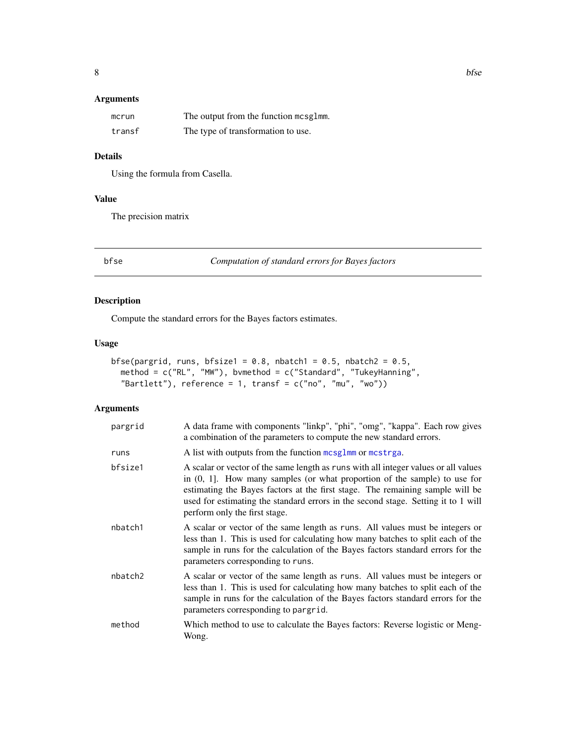## <span id="page-7-0"></span>Arguments

| mcrun  | The output from the function mcsglmm. |
|--------|---------------------------------------|
| transf | The type of transformation to use.    |

## Details

Using the formula from Casella.

## Value

The precision matrix

bfse *Computation of standard errors for Bayes factors*

## Description

Compute the standard errors for the Bayes factors estimates.

## Usage

```
bfse(pargrid, runs, bfsize1 = 0.8, nbatch1 = 0.5, nbatch2 = 0.5,
  method = c("RL", "MW"), bvmethod = c("Standard", "TukeyHanning",
 "Bartlett"), reference = 1, transf = c("no", "mu", "wo"))
```

| pargrid | A data frame with components "linkp", "phi", "omg", "kappa". Each row gives<br>a combination of the parameters to compute the new standard errors.                                                                                                                                                                                                                         |
|---------|----------------------------------------------------------------------------------------------------------------------------------------------------------------------------------------------------------------------------------------------------------------------------------------------------------------------------------------------------------------------------|
| runs    | A list with outputs from the function mcsglmm or mcstrga.                                                                                                                                                                                                                                                                                                                  |
| bfsize1 | A scalar or vector of the same length as runs with all integer values or all values<br>in $(0, 1]$ . How many samples (or what proportion of the sample) to use for<br>estimating the Bayes factors at the first stage. The remaining sample will be<br>used for estimating the standard errors in the second stage. Setting it to 1 will<br>perform only the first stage. |
| nbatch1 | A scalar or vector of the same length as runs. All values must be integers or<br>less than 1. This is used for calculating how many batches to split each of the<br>sample in runs for the calculation of the Bayes factors standard errors for the<br>parameters corresponding to runs.                                                                                   |
| nbatch2 | A scalar or vector of the same length as runs. All values must be integers or<br>less than 1. This is used for calculating how many batches to split each of the<br>sample in runs for the calculation of the Bayes factors standard errors for the<br>parameters corresponding to pargrid.                                                                                |
| method  | Which method to use to calculate the Bayes factors: Reverse logistic or Meng-<br>Wong.                                                                                                                                                                                                                                                                                     |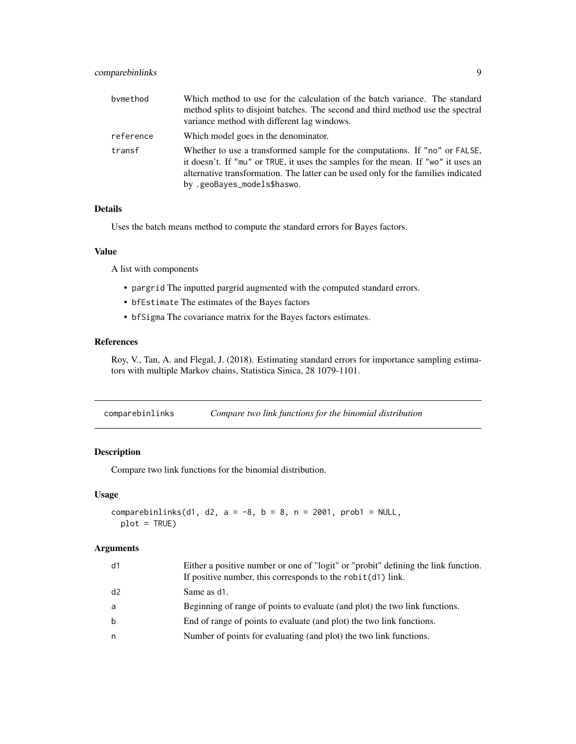## <span id="page-8-0"></span>comparebinlinks 9

| bymethod  | Which method to use for the calculation of the batch variance. The standard<br>method splits to disjoint batches. The second and third method use the spectral<br>variance method with different lag windows.                                                                         |
|-----------|---------------------------------------------------------------------------------------------------------------------------------------------------------------------------------------------------------------------------------------------------------------------------------------|
| reference | Which model goes in the denominator.                                                                                                                                                                                                                                                  |
| transf    | Whether to use a transformed sample for the computations. If "no" or FALSE,<br>it doesn't. If "mu" or TRUE, it uses the samples for the mean. If "wo" it uses an<br>alternative transformation. The latter can be used only for the families indicated<br>by .geoBayes_models\$haswo. |

## Details

Uses the batch means method to compute the standard errors for Bayes factors.

## Value

A list with components

- pargrid The inputted pargrid augmented with the computed standard errors.
- bfEstimate The estimates of the Bayes factors
- bfSigma The covariance matrix for the Bayes factors estimates.

### References

Roy, V., Tan, A. and Flegal, J. (2018). Estimating standard errors for importance sampling estimators with multiple Markov chains, Statistica Sinica, 28 1079-1101.

<span id="page-8-1"></span>

| comparebinlinks | Compare two link functions for the binomial distribution |  |  |
|-----------------|----------------------------------------------------------|--|--|
|                 |                                                          |  |  |

## Description

Compare two link functions for the binomial distribution.

## Usage

```
comparebinlinks(d1, d2, a = -8, b = 8, n = 2001, prob1 = NULL,
 plot = TRUE)
```

| d1          | Either a positive number or one of "logit" or "probit" defining the link function.<br>If positive number, this corresponds to the $\text{robit}(d1)$ link. |
|-------------|------------------------------------------------------------------------------------------------------------------------------------------------------------|
| d2          | Same as d1.                                                                                                                                                |
| a           | Beginning of range of points to evaluate (and plot) the two link functions.                                                                                |
| $\mathbf b$ | End of range of points to evaluate (and plot) the two link functions.                                                                                      |
| n           | Number of points for evaluating (and plot) the two link functions.                                                                                         |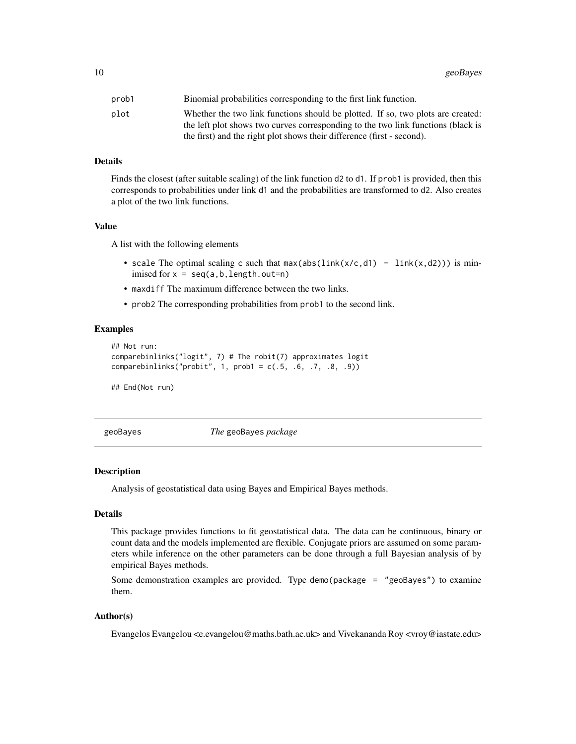<span id="page-9-0"></span>

| prob1 | Binomial probabilities corresponding to the first link function.                 |
|-------|----------------------------------------------------------------------------------|
| plot  | Whether the two link functions should be plotted. If so, two plots are created:  |
|       | the left plot shows two curves corresponding to the two link functions (black is |
|       | the first) and the right plot shows their difference (first - second).           |

#### Details

Finds the closest (after suitable scaling) of the link function d2 to d1. If prob1 is provided, then this corresponds to probabilities under link d1 and the probabilities are transformed to d2. Also creates a plot of the two link functions.

## Value

A list with the following elements

- scale The optimal scaling c such that  $max(abs(link(x/c, d1) link(x, d2)))$  is minimised for  $x = \text{seq}(a, b, \text{length}.\text{out=n})$
- maxdiff The maximum difference between the two links.
- prob2 The corresponding probabilities from prob1 to the second link.

#### Examples

```
## Not run:
comparebinlinks("logit", 7) # The robit(7) approximates logit
comparebinlinks("probit", 1, prob1 = c(.5, .6, .7, .8, .9))
```
## End(Not run)

geoBayes *The* geoBayes *package*

#### **Description**

Analysis of geostatistical data using Bayes and Empirical Bayes methods.

## Details

This package provides functions to fit geostatistical data. The data can be continuous, binary or count data and the models implemented are flexible. Conjugate priors are assumed on some parameters while inference on the other parameters can be done through a full Bayesian analysis of by empirical Bayes methods.

Some demonstration examples are provided. Type demo(package = "geoBayes") to examine them.

#### Author(s)

Evangelos Evangelou <e.evangelou@maths.bath.ac.uk> and Vivekananda Roy <vroy@iastate.edu>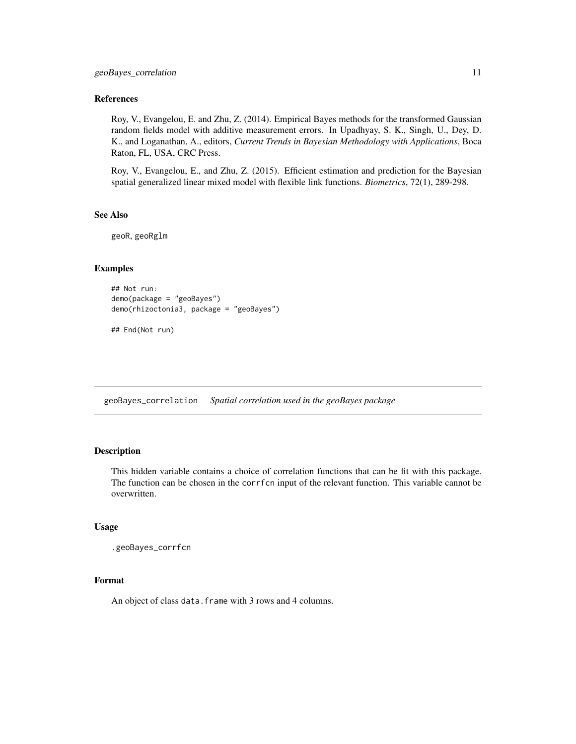#### <span id="page-10-0"></span>References

Roy, V., Evangelou, E. and Zhu, Z. (2014). Empirical Bayes methods for the transformed Gaussian random fields model with additive measurement errors. In Upadhyay, S. K., Singh, U., Dey, D. K., and Loganathan, A., editors, *Current Trends in Bayesian Methodology with Applications*, Boca Raton, FL, USA, CRC Press.

Roy, V., Evangelou, E., and Zhu, Z. (2015). Efficient estimation and prediction for the Bayesian spatial generalized linear mixed model with flexible link functions. *Biometrics*, 72(1), 289-298.

#### See Also

geoR, geoRglm

## Examples

```
## Not run:
demo(package = "geoBayes")
demo(rhizoctonia3, package = "geoBayes")
```
## End(Not run)

<span id="page-10-2"></span>geoBayes\_correlation *Spatial correlation used in the geoBayes package*

## <span id="page-10-1"></span>**Description**

This hidden variable contains a choice of correlation functions that can be fit with this package. The function can be chosen in the corrfcn input of the relevant function. This variable cannot be overwritten.

#### Usage

```
.geoBayes_corrfcn
```
## Format

An object of class data. frame with 3 rows and 4 columns.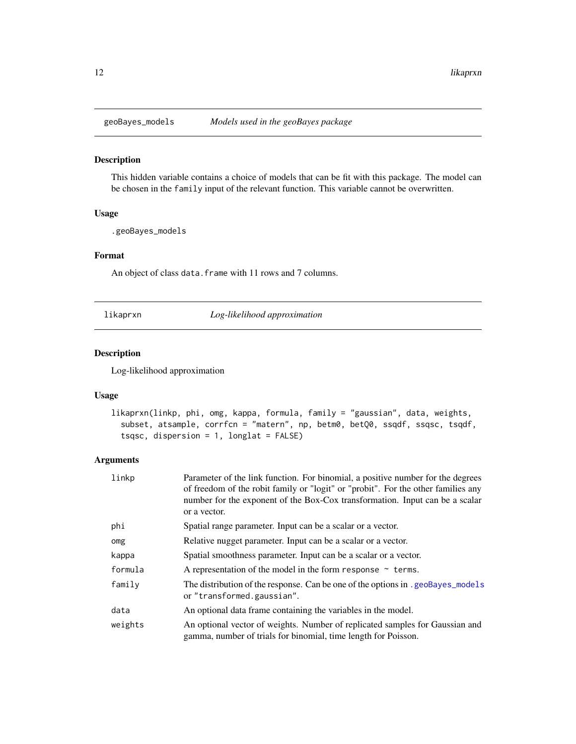<span id="page-11-0"></span>

## <span id="page-11-1"></span>Description

This hidden variable contains a choice of models that can be fit with this package. The model can be chosen in the family input of the relevant function. This variable cannot be overwritten.

#### Usage

.geoBayes\_models

## Format

An object of class data. frame with 11 rows and 7 columns.

likaprxn *Log-likelihood approximation*

#### Description

Log-likelihood approximation

#### Usage

```
likaprxn(linkp, phi, omg, kappa, formula, family = "gaussian", data, weights,
  subset, atsample, corrfcn = "matern", np, betm0, betQ0, ssqdf, ssqsc, tsqdf,
  tsqsc, dispersion = 1, longlat = FALSE)
```

| linkp   | Parameter of the link function. For binomial, a positive number for the degrees<br>of freedom of the robit family or "logit" or "probit". For the other families any<br>number for the exponent of the Box-Cox transformation. Input can be a scalar<br>or a vector. |
|---------|----------------------------------------------------------------------------------------------------------------------------------------------------------------------------------------------------------------------------------------------------------------------|
| phi     | Spatial range parameter. Input can be a scalar or a vector.                                                                                                                                                                                                          |
| omg     | Relative nugget parameter. Input can be a scalar or a vector.                                                                                                                                                                                                        |
| kappa   | Spatial smoothness parameter. Input can be a scalar or a vector.                                                                                                                                                                                                     |
| formula | A representation of the model in the form response $\sim$ terms.                                                                                                                                                                                                     |
| family  | The distribution of the response. Can be one of the options in .geoBayes_models<br>or "transformed.gaussian".                                                                                                                                                        |
| data    | An optional data frame containing the variables in the model.                                                                                                                                                                                                        |
| weights | An optional vector of weights. Number of replicated samples for Gaussian and<br>gamma, number of trials for binomial, time length for Poisson.                                                                                                                       |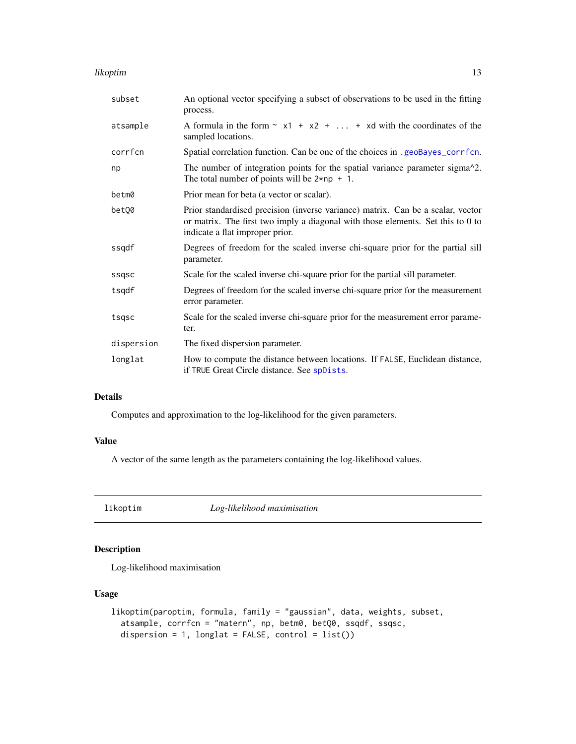#### <span id="page-12-0"></span>likoptim 13

| subset     | An optional vector specifying a subset of observations to be used in the fitting<br>process.                                                                                                          |
|------------|-------------------------------------------------------------------------------------------------------------------------------------------------------------------------------------------------------|
| atsample   | A formula in the form $\sim x1 + x2 +  + xd$ with the coordinates of the<br>sampled locations.                                                                                                        |
| corrfcn    | Spatial correlation function. Can be one of the choices in .geoBayes_corrfcn.                                                                                                                         |
| np         | The number of integration points for the spatial variance parameter sigma <sup>1</sup> 2.<br>The total number of points will be $2 \star np + 1$ .                                                    |
| betm0      | Prior mean for beta (a vector or scalar).                                                                                                                                                             |
| betQ0      | Prior standardised precision (inverse variance) matrix. Can be a scalar, vector<br>or matrix. The first two imply a diagonal with those elements. Set this to 0 to<br>indicate a flat improper prior. |
| ssqdf      | Degrees of freedom for the scaled inverse chi-square prior for the partial sill<br>parameter.                                                                                                         |
| ssgsc      | Scale for the scaled inverse chi-square prior for the partial sill parameter.                                                                                                                         |
| tsqdf      | Degrees of freedom for the scaled inverse chi-square prior for the measurement<br>error parameter.                                                                                                    |
| tsqsc      | Scale for the scaled inverse chi-square prior for the measurement error parame-<br>ter.                                                                                                               |
| dispersion | The fixed dispersion parameter.                                                                                                                                                                       |
| longlat    | How to compute the distance between locations. If FALSE, Euclidean distance,<br>if TRUE Great Circle distance. See spDists.                                                                           |

## Details

Computes and approximation to the log-likelihood for the given parameters.

## Value

A vector of the same length as the parameters containing the log-likelihood values.

likoptim *Log-likelihood maximisation*

## Description

Log-likelihood maximisation

## Usage

```
likoptim(paroptim, formula, family = "gaussian", data, weights, subset,
  atsample, corrfcn = "matern", np, betm0, betQ0, ssqdf, ssqsc,
 dispersion = 1, longlat = FALSE, control = list())
```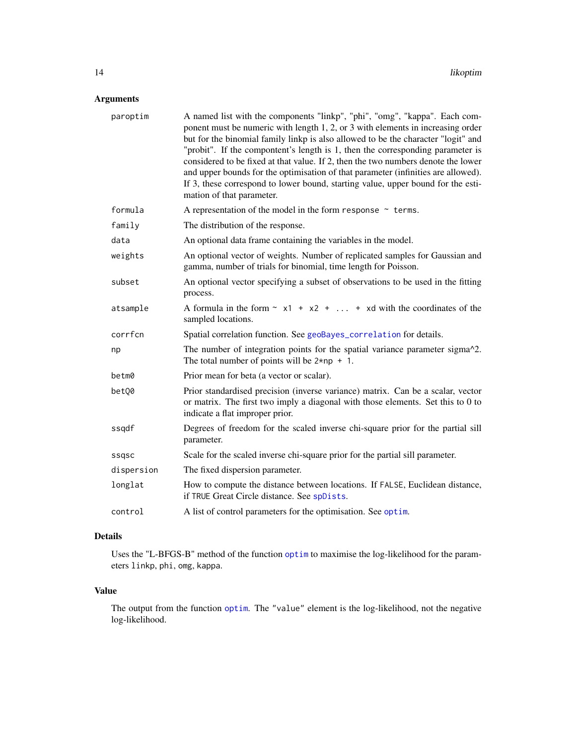## <span id="page-13-0"></span>Arguments

| paroptim   | A named list with the components "linkp", "phi", "omg", "kappa". Each com-<br>ponent must be numeric with length 1, 2, or 3 with elements in increasing order<br>but for the binomial family linkp is also allowed to be the character "logit" and<br>"probit". If the compontent's length is 1, then the corresponding parameter is<br>considered to be fixed at that value. If 2, then the two numbers denote the lower<br>and upper bounds for the optimisation of that parameter (infinities are allowed).<br>If 3, these correspond to lower bound, starting value, upper bound for the esti-<br>mation of that parameter. |
|------------|---------------------------------------------------------------------------------------------------------------------------------------------------------------------------------------------------------------------------------------------------------------------------------------------------------------------------------------------------------------------------------------------------------------------------------------------------------------------------------------------------------------------------------------------------------------------------------------------------------------------------------|
| formula    | A representation of the model in the form response $\sim$ terms.                                                                                                                                                                                                                                                                                                                                                                                                                                                                                                                                                                |
| family     | The distribution of the response.                                                                                                                                                                                                                                                                                                                                                                                                                                                                                                                                                                                               |
| data       | An optional data frame containing the variables in the model.                                                                                                                                                                                                                                                                                                                                                                                                                                                                                                                                                                   |
| weights    | An optional vector of weights. Number of replicated samples for Gaussian and<br>gamma, number of trials for binomial, time length for Poisson.                                                                                                                                                                                                                                                                                                                                                                                                                                                                                  |
| subset     | An optional vector specifying a subset of observations to be used in the fitting<br>process.                                                                                                                                                                                                                                                                                                                                                                                                                                                                                                                                    |
| atsample   | A formula in the form $\sim x1 + x2 +  + xd$ with the coordinates of the<br>sampled locations.                                                                                                                                                                                                                                                                                                                                                                                                                                                                                                                                  |
| corrfcn    | Spatial correlation function. See geoBayes_correlation for details.                                                                                                                                                                                                                                                                                                                                                                                                                                                                                                                                                             |
| np         | The number of integration points for the spatial variance parameter sigma^2.<br>The total number of points will be $2 \star np + 1$ .                                                                                                                                                                                                                                                                                                                                                                                                                                                                                           |
| betm0      | Prior mean for beta (a vector or scalar).                                                                                                                                                                                                                                                                                                                                                                                                                                                                                                                                                                                       |
| betQ0      | Prior standardised precision (inverse variance) matrix. Can be a scalar, vector<br>or matrix. The first two imply a diagonal with those elements. Set this to 0 to<br>indicate a flat improper prior.                                                                                                                                                                                                                                                                                                                                                                                                                           |
| ssqdf      | Degrees of freedom for the scaled inverse chi-square prior for the partial sill<br>parameter.                                                                                                                                                                                                                                                                                                                                                                                                                                                                                                                                   |
| ssqsc      | Scale for the scaled inverse chi-square prior for the partial sill parameter.                                                                                                                                                                                                                                                                                                                                                                                                                                                                                                                                                   |
| dispersion | The fixed dispersion parameter.                                                                                                                                                                                                                                                                                                                                                                                                                                                                                                                                                                                                 |
| longlat    | How to compute the distance between locations. If FALSE, Euclidean distance,<br>if TRUE Great Circle distance. See spDists.                                                                                                                                                                                                                                                                                                                                                                                                                                                                                                     |
| control    | A list of control parameters for the optimisation. See optim.                                                                                                                                                                                                                                                                                                                                                                                                                                                                                                                                                                   |

## Details

Uses the "L-BFGS-B" method of the function [optim](#page-0-0) to maximise the log-likelihood for the parameters linkp, phi, omg, kappa.

## Value

The output from the function [optim](#page-0-0). The "value" element is the log-likelihood, not the negative log-likelihood.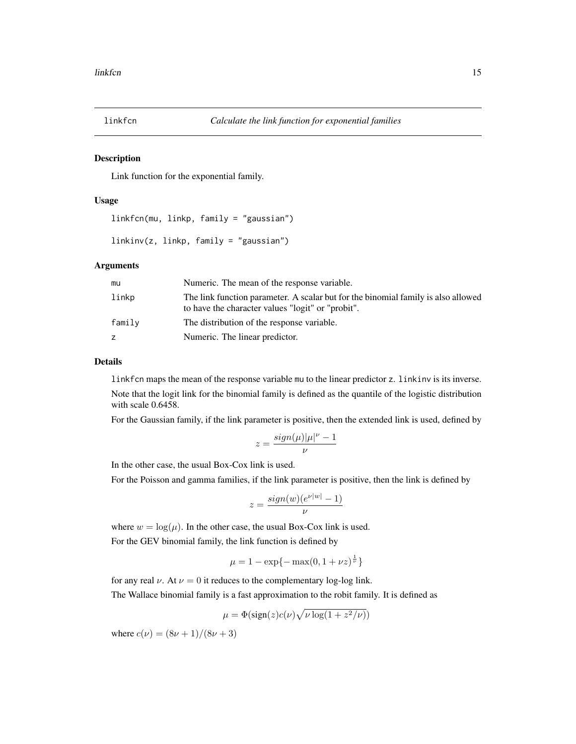<span id="page-14-0"></span>

## Description

Link function for the exponential family.

#### Usage

```
linkfcn(mu, linkp, family = "gaussian")
```

```
linkinv(z, linkp, family = "gaussian")
```
### Arguments

| mu     | Numeric. The mean of the response variable.                                                                                            |
|--------|----------------------------------------------------------------------------------------------------------------------------------------|
| linkp  | The link function parameter. A scalar but for the binomial family is also allowed<br>to have the character values "logit" or "probit". |
| family | The distribution of the response variable.                                                                                             |
|        | Numeric. The linear predictor.                                                                                                         |

## Details

linkfcn maps the mean of the response variable mu to the linear predictor z. linkinv is its inverse. Note that the logit link for the binomial family is defined as the quantile of the logistic distribution with scale 0.6458.

For the Gaussian family, if the link parameter is positive, then the extended link is used, defined by

$$
z = \frac{sign(\mu)|\mu|^{\nu} - 1}{\nu}
$$

In the other case, the usual Box-Cox link is used.

For the Poisson and gamma families, if the link parameter is positive, then the link is defined by

$$
z = \frac{sign(w)(e^{\nu|w|} - 1)}{\nu}
$$

where  $w = \log(\mu)$ . In the other case, the usual Box-Cox link is used.

For the GEV binomial family, the link function is defined by

$$
\mu = 1 - \exp\{-\max(0, 1 + \nu z)^{\frac{1}{\nu}}\}
$$

for any real  $\nu$ . At  $\nu = 0$  it reduces to the complementary log-log link.

The Wallace binomial family is a fast approximation to the robit family. It is defined as

$$
\mu = \Phi(\text{sign}(z)c(\nu)\sqrt{\nu \log(1 + z^2/\nu)})
$$

where  $c(\nu) = (8\nu + 1)/(8\nu + 3)$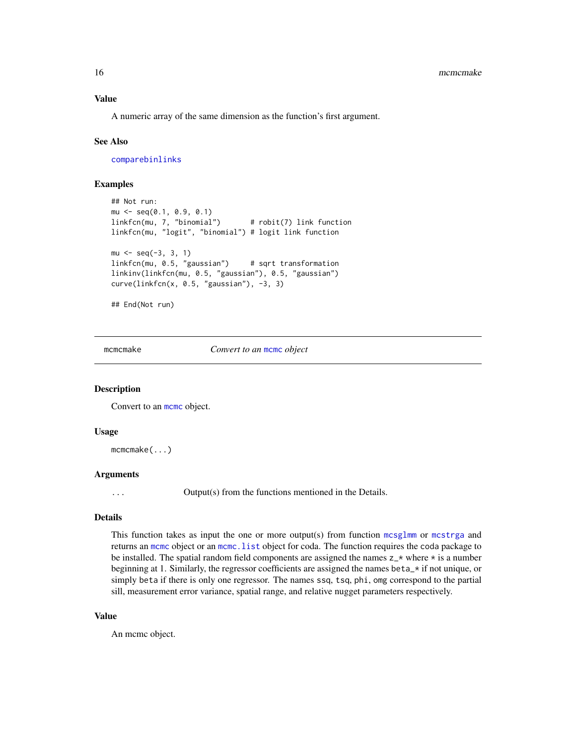## <span id="page-15-0"></span>Value

A numeric array of the same dimension as the function's first argument.

#### See Also

[comparebinlinks](#page-8-1)

#### Examples

```
## Not run:
mu \le - seq(0.1, 0.9, 0.1)
linkfcn(mu, 7, "binomial") # robit(7) link function
linkfcn(mu, "logit", "binomial") # logit link function
mu \leftarrow seq(-3, 3, 1)linkfcn(mu, 0.5, "gaussian") # sqrt transformation
linkinv(linkfcn(mu, 0.5, "gaussian"), 0.5, "gaussian")
curve(linkfcn(x, 0.5, "gaussian"), -3, 3)
```

```
## End(Not run)
```
mcmcmake *Convert to an* [mcmc](#page-0-0) *object*

#### **Description**

Convert to an mome object.

#### Usage

mcmcmake(...)

## Arguments

... Output(s) from the functions mentioned in the Details.

## Details

This function takes as input the one or more output(s) from function [mcsglmm](#page-17-1) or [mcstrga](#page-20-1) and returns an [mcmc](#page-0-0) object or an [mcmc.list](#page-0-0) object for coda. The function requires the coda package to be installed. The spatial random field components are assigned the names  $z_{\text{+}} \times z_{\text{+}} \times z_{\text{+}}$  is a number beginning at 1. Similarly, the regressor coefficients are assigned the names beta\_\* if not unique, or simply beta if there is only one regressor. The names ssq, tsq, phi, omg correspond to the partial sill, measurement error variance, spatial range, and relative nugget parameters respectively.

## Value

An mcmc object.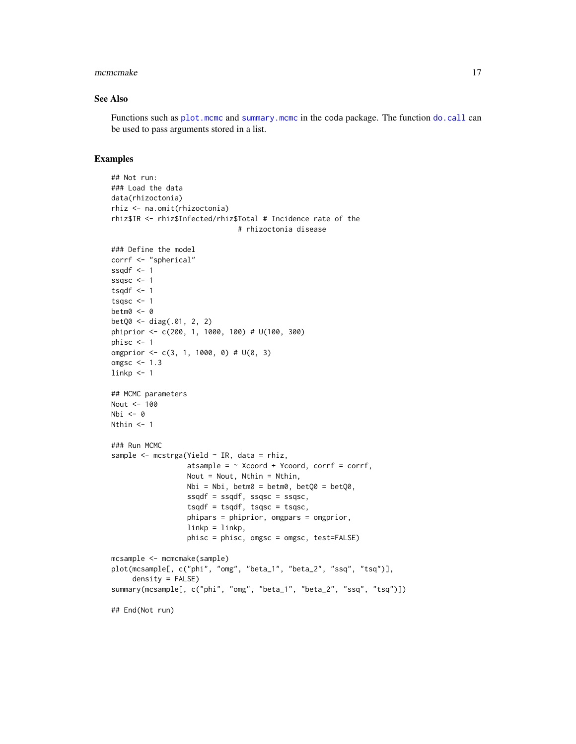#### <span id="page-16-0"></span>mcmcmake 17

## See Also

Functions such as [plot.mcmc](#page-0-0) and [summary.mcmc](#page-0-0) in the coda package. The function [do.call](#page-0-0) can be used to pass arguments stored in a list.

```
## Not run:
### Load the data
data(rhizoctonia)
rhiz <- na.omit(rhizoctonia)
rhiz$IR <- rhiz$Infected/rhiz$Total # Incidence rate of the
                              # rhizoctonia disease
### Define the model
corrf <- "spherical"
ssqdf \leq -1ssqsc <-1tsqdf \leftarrow 1tsqsc <-1betm0 <- 0
betQ0 <- diag(.01, 2, 2)
phiprior <- c(200, 1, 1000, 100) # U(100, 300)
phisc <-1omgprior <- c(3, 1, 1000, 0) # U(0, 3)
omgsc <-1.3linkp < -1## MCMC parameters
Nout <- 100
Nbi <- 0
Nthin <-1### Run MCMC
sample \leq mcstrga(Yield \sim IR, data = rhiz,
                  atsample = \sim Xcoord + Ycoord, corrf = corrf,
                  Nout = Nout, Nthin = Nthin,
                  Nbi = Nbi, betm0 = betm0, betQ0 = betQ0,
                  ssqdf = ssqdf, ssqsc = ssqsc,
                  tsqdf = tsqdf, tsqsc = tsqsc,
                  phipars = phiprior, omgpars = omgprior,
                  linkp = linkp,phisc = phisc, omgsc = omgsc, test=FALSE)
mcsample <- mcmcmake(sample)
plot(mcsample[, c("phi", "omg", "beta_1", "beta_2", "ssq", "tsq")],
     density = FALSE)
summary(mcsample[, c("phi", "omg", "beta_1", "beta_2", "ssq", "tsq")])
## End(Not run)
```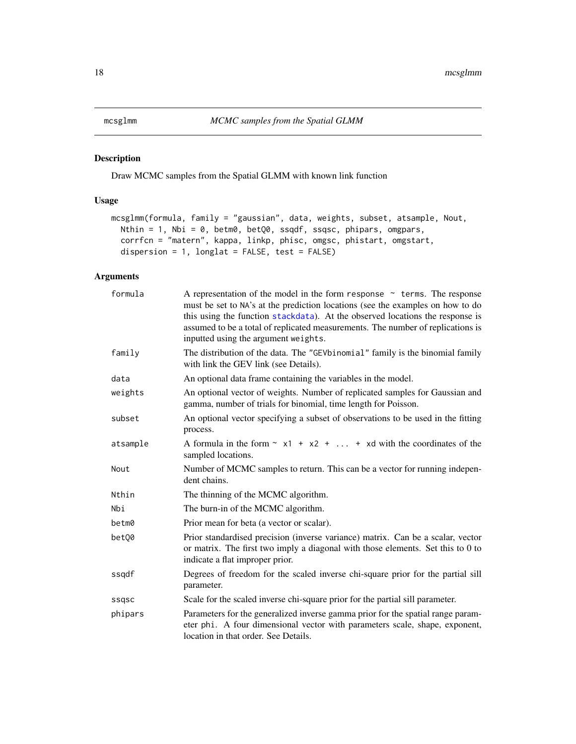<span id="page-17-1"></span><span id="page-17-0"></span>

## Description

Draw MCMC samples from the Spatial GLMM with known link function

## Usage

```
mcsglmm(formula, family = "gaussian", data, weights, subset, atsample, Nout,
 Nthin = 1, Nbi = 0, betm0, betQ0, ssqdf, ssqsc, phipars, omgpars,
  corrfcn = "matern", kappa, linkp, phisc, omgsc, phistart, omgstart,
 dispersion = 1, longlat = FALSE, test = FALSE)
```

| formula  | A representation of the model in the form response $\sim$ terms. The response<br>must be set to NA's at the prediction locations (see the examples on how to do<br>this using the function stackdata). At the observed locations the response is<br>assumed to be a total of replicated measurements. The number of replications is<br>inputted using the argument weights. |
|----------|-----------------------------------------------------------------------------------------------------------------------------------------------------------------------------------------------------------------------------------------------------------------------------------------------------------------------------------------------------------------------------|
| family   | The distribution of the data. The "GEVbinomial" family is the binomial family<br>with link the GEV link (see Details).                                                                                                                                                                                                                                                      |
| data     | An optional data frame containing the variables in the model.                                                                                                                                                                                                                                                                                                               |
| weights  | An optional vector of weights. Number of replicated samples for Gaussian and<br>gamma, number of trials for binomial, time length for Poisson.                                                                                                                                                                                                                              |
| subset   | An optional vector specifying a subset of observations to be used in the fitting<br>process.                                                                                                                                                                                                                                                                                |
| atsample | A formula in the form $\sim x1 + x2 +  + xd$ with the coordinates of the<br>sampled locations.                                                                                                                                                                                                                                                                              |
| Nout     | Number of MCMC samples to return. This can be a vector for running indepen-<br>dent chains.                                                                                                                                                                                                                                                                                 |
| Nthin    | The thinning of the MCMC algorithm.                                                                                                                                                                                                                                                                                                                                         |
| Nbi      | The burn-in of the MCMC algorithm.                                                                                                                                                                                                                                                                                                                                          |
| betm0    | Prior mean for beta (a vector or scalar).                                                                                                                                                                                                                                                                                                                                   |
| bet00    | Prior standardised precision (inverse variance) matrix. Can be a scalar, vector<br>or matrix. The first two imply a diagonal with those elements. Set this to 0 to<br>indicate a flat improper prior.                                                                                                                                                                       |
| ssqdf    | Degrees of freedom for the scaled inverse chi-square prior for the partial sill<br>parameter.                                                                                                                                                                                                                                                                               |
| ssqsc    | Scale for the scaled inverse chi-square prior for the partial sill parameter.                                                                                                                                                                                                                                                                                               |
| phipars  | Parameters for the generalized inverse gamma prior for the spatial range param-<br>eter phi. A four dimensional vector with parameters scale, shape, exponent,<br>location in that order. See Details.                                                                                                                                                                      |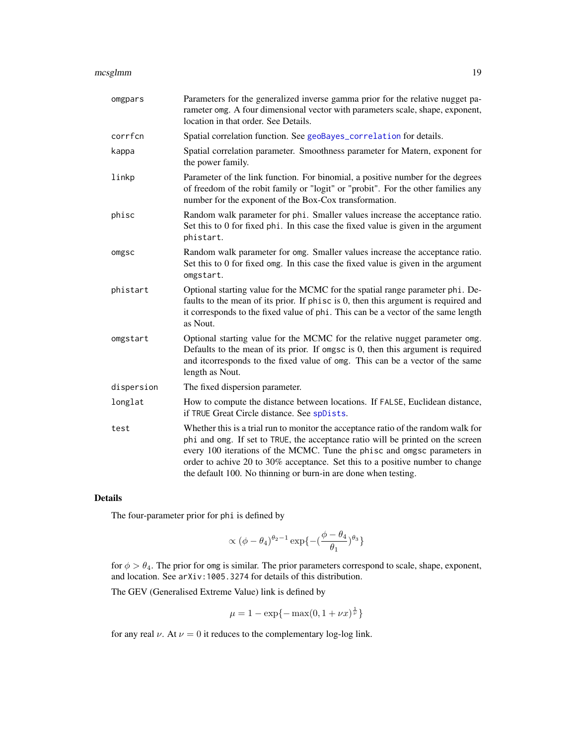#### <span id="page-18-0"></span>mcsglmm and the control of the control of the control of the control of the control of the control of the control of the control of the control of the control of the control of the control of the control of the control of

| omgpars    | Parameters for the generalized inverse gamma prior for the relative nugget pa-<br>rameter omg. A four dimensional vector with parameters scale, shape, exponent,<br>location in that order. See Details.                                                                                                                                                                                             |
|------------|------------------------------------------------------------------------------------------------------------------------------------------------------------------------------------------------------------------------------------------------------------------------------------------------------------------------------------------------------------------------------------------------------|
| corrfcn    | Spatial correlation function. See geoBayes_correlation for details.                                                                                                                                                                                                                                                                                                                                  |
| kappa      | Spatial correlation parameter. Smoothness parameter for Matern, exponent for<br>the power family.                                                                                                                                                                                                                                                                                                    |
| linkp      | Parameter of the link function. For binomial, a positive number for the degrees<br>of freedom of the robit family or "logit" or "probit". For the other families any<br>number for the exponent of the Box-Cox transformation.                                                                                                                                                                       |
| phisc      | Random walk parameter for phi. Smaller values increase the acceptance ratio.<br>Set this to 0 for fixed phi. In this case the fixed value is given in the argument<br>phistart.                                                                                                                                                                                                                      |
| omgsc      | Random walk parameter for omg. Smaller values increase the acceptance ratio.<br>Set this to 0 for fixed omg. In this case the fixed value is given in the argument<br>omgstart.                                                                                                                                                                                                                      |
| phistart   | Optional starting value for the MCMC for the spatial range parameter phi. De-<br>faults to the mean of its prior. If phisc is 0, then this argument is required and<br>it corresponds to the fixed value of phi. This can be a vector of the same length<br>as Nout.                                                                                                                                 |
| omgstart   | Optional starting value for the MCMC for the relative nugget parameter omg.<br>Defaults to the mean of its prior. If omgsc is 0, then this argument is required<br>and it corresponds to the fixed value of omg. This can be a vector of the same<br>length as Nout.                                                                                                                                 |
| dispersion | The fixed dispersion parameter.                                                                                                                                                                                                                                                                                                                                                                      |
| longlat    | How to compute the distance between locations. If FALSE, Euclidean distance,<br>if TRUE Great Circle distance. See spDists.                                                                                                                                                                                                                                                                          |
| test       | Whether this is a trial run to monitor the acceptance ratio of the random walk for<br>phi and omg. If set to TRUE, the acceptance ratio will be printed on the screen<br>every 100 iterations of the MCMC. Tune the phisc and omgsc parameters in<br>order to achive 20 to 30% acceptance. Set this to a positive number to change<br>the default 100. No thinning or burn-in are done when testing. |

## Details

The four-parameter prior for phi is defined by

$$
\propto (\phi-\theta_4)^{\theta_2-1}\exp\{-(\frac{\phi-\theta_4}{\theta_1})^{\theta_3}\}
$$

for  $\phi > \theta_4$ . The prior for omg is similar. The prior parameters correspond to scale, shape, exponent, and location. See arXiv:1005.3274 for details of this distribution.

The GEV (Generalised Extreme Value) link is defined by

$$
\mu=1-\exp\{-\max(0,1+\nu x)^{\frac{1}{\nu}}\}
$$

for any real  $\nu$ . At  $\nu = 0$  it reduces to the complementary log-log link.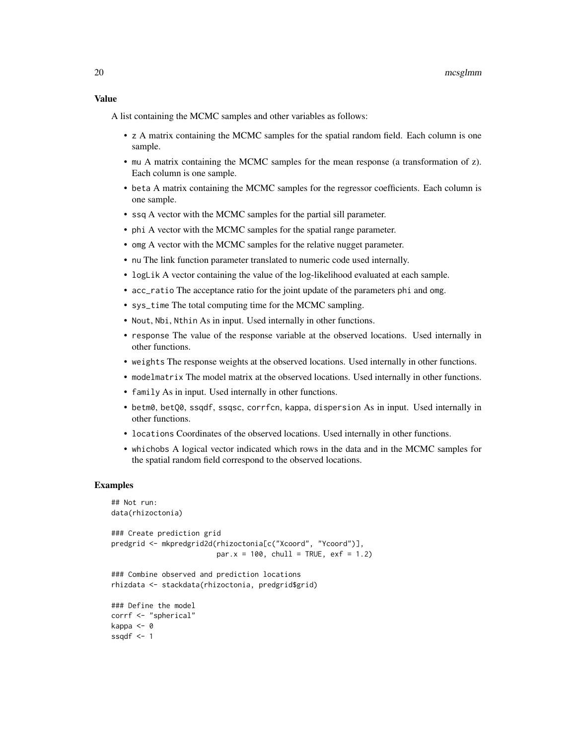A list containing the MCMC samples and other variables as follows:

- z A matrix containing the MCMC samples for the spatial random field. Each column is one sample.
- mu A matrix containing the MCMC samples for the mean response (a transformation of z). Each column is one sample.
- beta A matrix containing the MCMC samples for the regressor coefficients. Each column is one sample.
- ssq A vector with the MCMC samples for the partial sill parameter.
- phi A vector with the MCMC samples for the spatial range parameter.
- omg A vector with the MCMC samples for the relative nugget parameter.
- nu The link function parameter translated to numeric code used internally.
- logLik A vector containing the value of the log-likelihood evaluated at each sample.
- acc\_ratio The acceptance ratio for the joint update of the parameters phi and omg.
- sys\_time The total computing time for the MCMC sampling.
- Nout, Nbi, Nthin As in input. Used internally in other functions.
- response The value of the response variable at the observed locations. Used internally in other functions.
- weights The response weights at the observed locations. Used internally in other functions.
- modelmatrix The model matrix at the observed locations. Used internally in other functions.
- family As in input. Used internally in other functions.
- betm0, betQ0, ssqdf, ssqsc, corrfcn, kappa, dispersion As in input. Used internally in other functions.
- locations Coordinates of the observed locations. Used internally in other functions.
- whichobs A logical vector indicated which rows in the data and in the MCMC samples for the spatial random field correspond to the observed locations.

```
## Not run:
data(rhizoctonia)
### Create prediction grid
predgrid <- mkpredgrid2d(rhizoctonia[c("Xcoord", "Ycoord")],
                         par.x = 100, chull = TRUE, exf = 1.2)
### Combine observed and prediction locations
rhizdata <- stackdata(rhizoctonia, predgrid$grid)
### Define the model
corrf <- "spherical"
kappa <- 0
ssqdf \leftarrow 1
```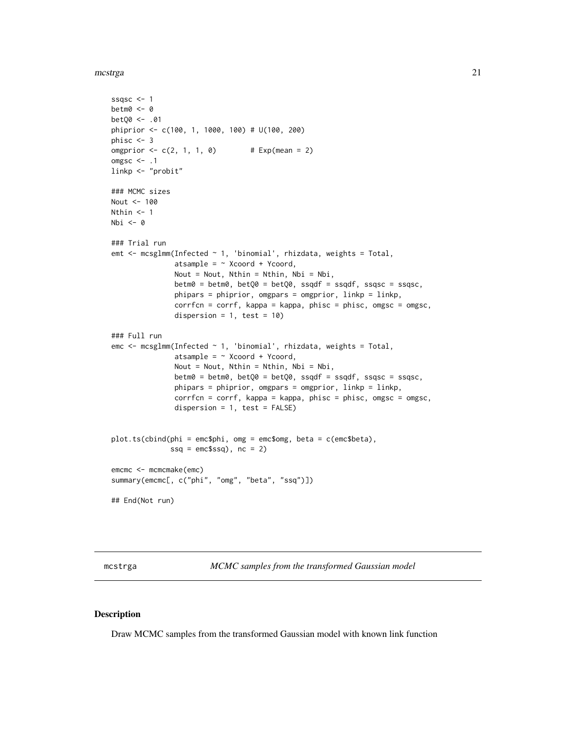<span id="page-20-0"></span>mcstrga 21

```
ssqsc <-1betm0 <- 0
betQ0 <- .01
phiprior <- c(100, 1, 1000, 100) # U(100, 200)
phisc <- 3
omgprior \leq -c(2, 1, 1, 0) # Exp(mean = 2)
omgsc <-1linkp <- "probit"
### MCMC sizes
Nout <- 100
Nthin <- 1
Nbi \leftarrow 0### Trial run
emt <- mcsglmm(Infected ~ 1, 'binomial', rhizdata, weights = Total,
               atsample = \sim Xcoord + Ycoord,
               Nout = Nout, Nthin = Nthin, Nbi = Nbi,
               betm0 = betm0, betQ0 = betQ0, ssqdf = ssqdf, ssqsc = ssqsc,
               phipars = phiprior, omgpars = omgprior, linkp = linkp,
               corrfcn = corrf, kappa = kappa, phisc = phisc, omgsc = omgsc,
               dispersion = 1, test = 10)
### Full run
emc <- mcsglmm(Infected ~ 1, 'binomial', rhizdata, weights = Total,
               atsample = \sim Xcoord + Ycoord,
               Nout = Nout, Nthin = Nthin, Nbi = Nbi,
               betm0 = betm0, betQ0 = betQ0, ssqdf = ssqdf, ssqsc = ssqsc,
               phipars = phiprior, omgpars = omgprior, linkp = linkp,
               corrfcn = corrf, kappa = kappa, phisc = phisc, omgsc = omgsc,
               dispersion = 1, test = FALSE)
plot.ts(cbind(phi = emc$phi, omg = emc$omg, beta = c(emc$beta),
              ssq = emcsssq), nc = 2)
emcmc <- mcmcmake(emc)
summary(emcmc[, c("phi", "omg", "beta", "ssq")])
## End(Not run)
```
<span id="page-20-1"></span>mcstrga *MCMC samples from the transformed Gaussian model*

#### **Description**

Draw MCMC samples from the transformed Gaussian model with known link function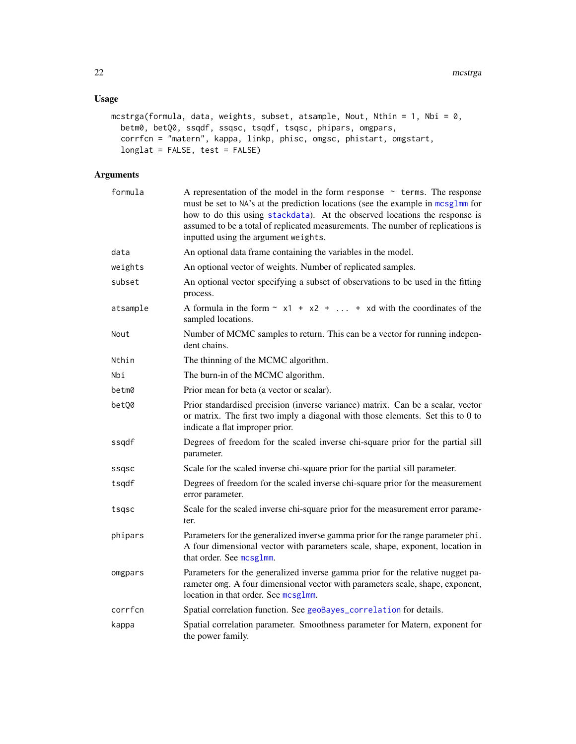## <span id="page-21-0"></span>Usage

```
mcstrga(formula, data, weights, subset, atsample, Nout, Nthin = 1, Nbi = 0,
 betm0, betQ0, ssqdf, ssqsc, tsqdf, tsqsc, phipars, omgpars,
 corrfcn = "matern", kappa, linkp, phisc, omgsc, phistart, omgstart,
  longlat = FALSE, test = FALSE)
```

| formula  | A representation of the model in the form response $\sim$ terms. The response<br>must be set to NA's at the prediction locations (see the example in mcsglmm for<br>how to do this using stackdata). At the observed locations the response is<br>assumed to be a total of replicated measurements. The number of replications is<br>inputted using the argument weights. |
|----------|---------------------------------------------------------------------------------------------------------------------------------------------------------------------------------------------------------------------------------------------------------------------------------------------------------------------------------------------------------------------------|
| data     | An optional data frame containing the variables in the model.                                                                                                                                                                                                                                                                                                             |
| weights  | An optional vector of weights. Number of replicated samples.                                                                                                                                                                                                                                                                                                              |
| subset   | An optional vector specifying a subset of observations to be used in the fitting<br>process.                                                                                                                                                                                                                                                                              |
| atsample | A formula in the form $\sim x1 + x2 +  + xd$ with the coordinates of the<br>sampled locations.                                                                                                                                                                                                                                                                            |
| Nout     | Number of MCMC samples to return. This can be a vector for running indepen-<br>dent chains.                                                                                                                                                                                                                                                                               |
| Nthin    | The thinning of the MCMC algorithm.                                                                                                                                                                                                                                                                                                                                       |
| Nbi      | The burn-in of the MCMC algorithm.                                                                                                                                                                                                                                                                                                                                        |
| betm0    | Prior mean for beta (a vector or scalar).                                                                                                                                                                                                                                                                                                                                 |
| betQ0    | Prior standardised precision (inverse variance) matrix. Can be a scalar, vector<br>or matrix. The first two imply a diagonal with those elements. Set this to 0 to<br>indicate a flat improper prior.                                                                                                                                                                     |
| ssqdf    | Degrees of freedom for the scaled inverse chi-square prior for the partial sill<br>parameter.                                                                                                                                                                                                                                                                             |
| ssqsc    | Scale for the scaled inverse chi-square prior for the partial sill parameter.                                                                                                                                                                                                                                                                                             |
| tsqdf    | Degrees of freedom for the scaled inverse chi-square prior for the measurement<br>error parameter.                                                                                                                                                                                                                                                                        |
| tsqsc    | Scale for the scaled inverse chi-square prior for the measurement error parame-<br>ter.                                                                                                                                                                                                                                                                                   |
| phipars  | Parameters for the generalized inverse gamma prior for the range parameter phi.<br>A four dimensional vector with parameters scale, shape, exponent, location in<br>that order. See mcsglmm.                                                                                                                                                                              |
| omgpars  | Parameters for the generalized inverse gamma prior for the relative nugget pa-<br>rameter omg. A four dimensional vector with parameters scale, shape, exponent,<br>location in that order. See mcsglmm.                                                                                                                                                                  |
| corrfcn  | Spatial correlation function. See geoBayes_correlation for details.                                                                                                                                                                                                                                                                                                       |
| kappa    | Spatial correlation parameter. Smoothness parameter for Matern, exponent for<br>the power family.                                                                                                                                                                                                                                                                         |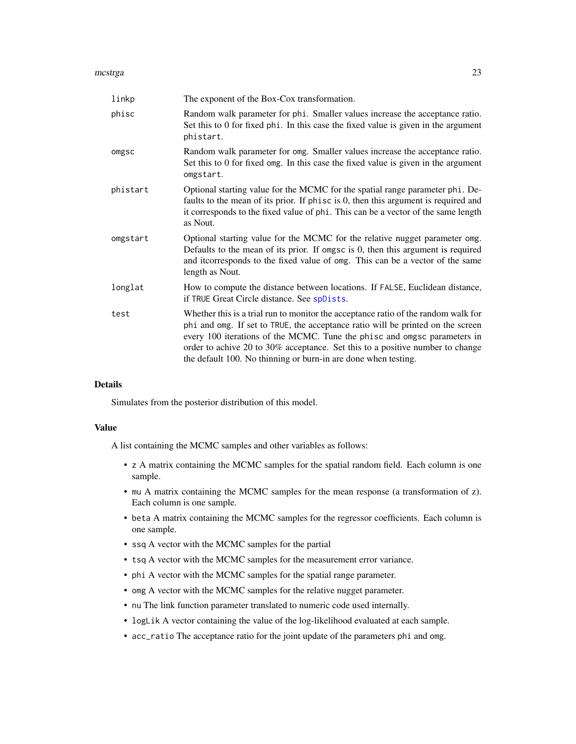#### <span id="page-22-0"></span>mcstrga 23

| linkp    | The exponent of the Box-Cox transformation.                                                                                                                                                                                                                                                                                                                                                          |
|----------|------------------------------------------------------------------------------------------------------------------------------------------------------------------------------------------------------------------------------------------------------------------------------------------------------------------------------------------------------------------------------------------------------|
| phisc    | Random walk parameter for phi. Smaller values increase the acceptance ratio.<br>Set this to 0 for fixed phi. In this case the fixed value is given in the argument<br>phistart.                                                                                                                                                                                                                      |
| omgsc    | Random walk parameter for omg. Smaller values increase the acceptance ratio.<br>Set this to 0 for fixed omg. In this case the fixed value is given in the argument<br>omgstart.                                                                                                                                                                                                                      |
| phistart | Optional starting value for the MCMC for the spatial range parameter phi. De-<br>faults to the mean of its prior. If phisc is 0, then this argument is required and<br>it corresponds to the fixed value of phi. This can be a vector of the same length<br>as Nout.                                                                                                                                 |
| omgstart | Optional starting value for the MCMC for the relative nugget parameter omg.<br>Defaults to the mean of its prior. If omgsc is $0$ , then this argument is required<br>and it corresponds to the fixed value of omg. This can be a vector of the same<br>length as Nout.                                                                                                                              |
| longlat  | How to compute the distance between locations. If FALSE, Euclidean distance,<br>if TRUE Great Circle distance. See spDists.                                                                                                                                                                                                                                                                          |
| test     | Whether this is a trial run to monitor the acceptance ratio of the random walk for<br>phi and omg. If set to TRUE, the acceptance ratio will be printed on the screen<br>every 100 iterations of the MCMC. Tune the phisc and omgsc parameters in<br>order to achive 20 to 30% acceptance. Set this to a positive number to change<br>the default 100. No thinning or burn-in are done when testing. |

## Details

Simulates from the posterior distribution of this model.

#### Value

A list containing the MCMC samples and other variables as follows:

- z A matrix containing the MCMC samples for the spatial random field. Each column is one sample.
- mu A matrix containing the MCMC samples for the mean response (a transformation of z). Each column is one sample.
- beta A matrix containing the MCMC samples for the regressor coefficients. Each column is one sample.
- ssq A vector with the MCMC samples for the partial
- tsq A vector with the MCMC samples for the measurement error variance.
- phi A vector with the MCMC samples for the spatial range parameter.
- omg A vector with the MCMC samples for the relative nugget parameter.
- nu The link function parameter translated to numeric code used internally.
- logLik A vector containing the value of the log-likelihood evaluated at each sample.
- acc\_ratio The acceptance ratio for the joint update of the parameters phi and omg.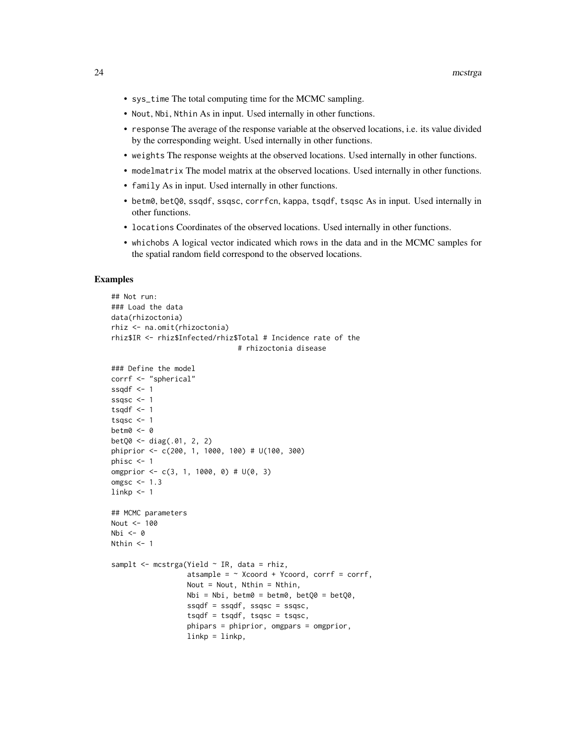- sys\_time The total computing time for the MCMC sampling.
- Nout, Nbi, Nthin As in input. Used internally in other functions.
- response The average of the response variable at the observed locations, i.e. its value divided by the corresponding weight. Used internally in other functions.
- weights The response weights at the observed locations. Used internally in other functions.
- modelmatrix The model matrix at the observed locations. Used internally in other functions.
- family As in input. Used internally in other functions.
- betm0, betQ0, ssqdf, ssqsc, corrfcn, kappa, tsqdf, tsqsc As in input. Used internally in other functions.
- locations Coordinates of the observed locations. Used internally in other functions.
- whichobs A logical vector indicated which rows in the data and in the MCMC samples for the spatial random field correspond to the observed locations.

```
## Not run:
### Load the data
data(rhizoctonia)
rhiz <- na.omit(rhizoctonia)
rhiz$IR <- rhiz$Infected/rhiz$Total # Incidence rate of the
                              # rhizoctonia disease
### Define the model
corrf <- "spherical"
ssqdf \leq -1ssqsc <-1tsqdf \leftarrow 1tsqsc <- 1
betm0 <- 0
betQ0 <- diag(.01, 2, 2)
phiprior <- c(200, 1, 1000, 100) # U(100, 300)
phisc <-1omgprior \leq -c(3, 1, 1000, 0) # U(0, 3)
omgsc <-1.3linkp < -1## MCMC parameters
Nout <- 100
Nbi <- 0
Nthin <-1samplt \leq mcstrga(Yield \sim IR, data = rhiz,
                  atsample = \sim Xcoord + Ycoord, corrf = corrf,
                  Nout = Nout, Nthin = Nthin,
                  Nbi = Nbi, betm0 = betm0, betQ0 = betQ0,
                  ssqdf = ssqdf, ssqsc = ssqsc,
                  tsqdf = tsqdf, tsqsc = tsqsc,
                  phipars = phiprior, omgpars = omgprior,
                  linkp = linkp,
```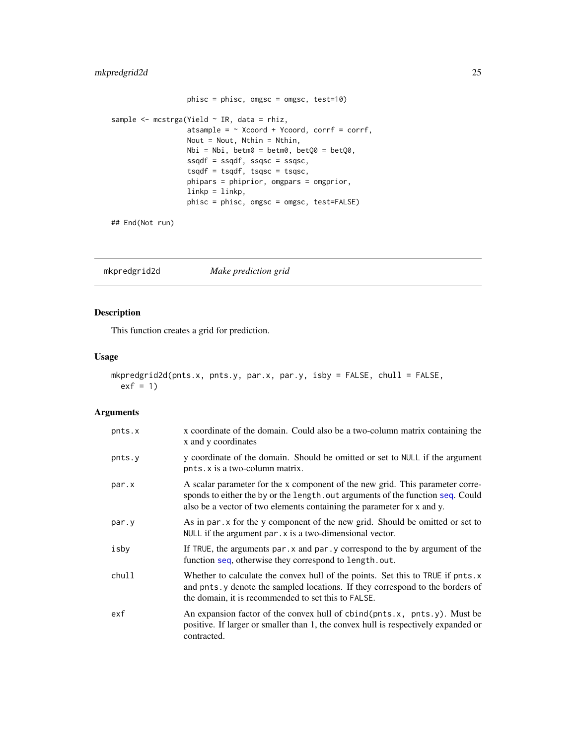## <span id="page-24-0"></span>mkpredgrid2d 25

```
phisc = phisc, omgsc = omgsc, test=10)
sample <- mcstrga(Yield ~ IR, data = rhiz,
                  atsample = \sim Xcoord + Ycoord, corrf = corrf,
                  Nout = Nout, Nthin = Nthin,
                  Nbi = Nbi, betm0 = betm0, betQ0 = betQ0,
                  ssqdf = ssqdf, ssqsc = ssqsc,
                  tsqdf = tsqdf, tsqsc = tsqsc,
                  phipars = phiprior, omgpars = omgprior,
                  linkp = linkp,
                  phisc = phisc, omgsc = omgsc, test=FALSE)
```
## End(Not run)

mkpredgrid2d *Make prediction grid*

## Description

This function creates a grid for prediction.

## Usage

```
mkpredgrid2d(pnts.x, pnts.y, par.x, par.y, isby = FALSE, chull = FALSE,
 exf = 1
```

| pnts.x | x coordinate of the domain. Could also be a two-column matrix containing the<br>x and y coordinates                                                                                                                                        |
|--------|--------------------------------------------------------------------------------------------------------------------------------------------------------------------------------------------------------------------------------------------|
| pnts.y | y coordinate of the domain. Should be omitted or set to NULL if the argument<br>pnts. x is a two-column matrix.                                                                                                                            |
| par.x  | A scalar parameter for the x component of the new grid. This parameter corre-<br>sponds to either the by or the length. out arguments of the function seq. Could<br>also be a vector of two elements containing the parameter for x and y. |
| par.y  | As in par x for the y component of the new grid. Should be omitted or set to<br>NULL if the argument par . x is a two-dimensional vector.                                                                                                  |
| isby   | If TRUE, the arguments par $\cdot$ x and par $\cdot$ y correspond to the by argument of the<br>function seq, otherwise they correspond to length.out.                                                                                      |
| chull  | Whether to calculate the convex hull of the points. Set this to TRUE if pnts.x<br>and pnts. y denote the sampled locations. If they correspond to the borders of<br>the domain, it is recommended to set this to FALSE.                    |
| exf    | An expansion factor of the convex hull of cbind(pnts.x, pnts.y). Must be<br>positive. If larger or smaller than 1, the convex hull is respectively expanded or<br>contracted.                                                              |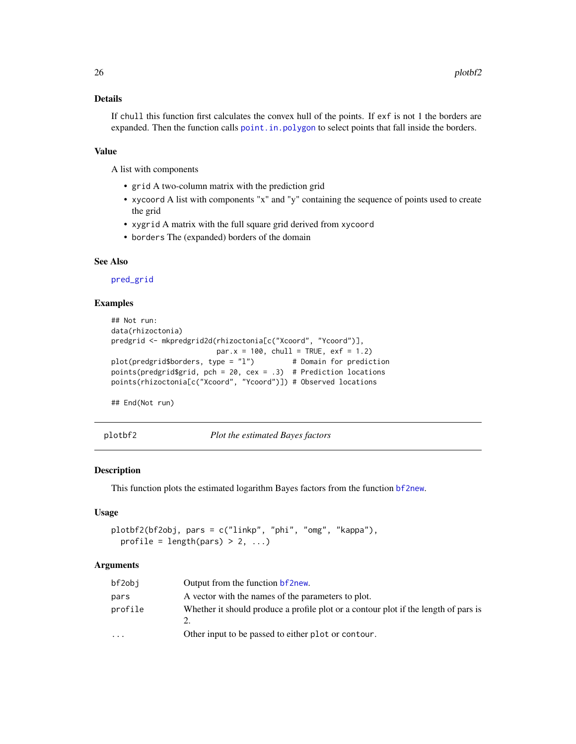## <span id="page-25-0"></span>Details

If chull this function first calculates the convex hull of the points. If exf is not 1 the borders are expanded. Then the function calls [point.in.polygon](#page-0-0) to select points that fall inside the borders.

## Value

A list with components

- grid A two-column matrix with the prediction grid
- xycoord A list with components "x" and "y" containing the sequence of points used to create the grid
- xygrid A matrix with the full square grid derived from xycoord
- borders The (expanded) borders of the domain

#### See Also

[pred\\_grid](#page-0-0)

#### Examples

```
## Not run:
data(rhizoctonia)
predgrid <- mkpredgrid2d(rhizoctonia[c("Xcoord", "Ycoord")],
                        par.x = 100, chull = TRUE, exf = 1.2)
plot(predgrid$borders, type = "l") # Domain for prediction
points(predgrid$grid, pch = 20, cex = .3) # Prediction locations
points(rhizoctonia[c("Xcoord", "Ycoord")]) # Observed locations
```
## End(Not run)

plotbf2 *Plot the estimated Bayes factors*

#### **Description**

This function plots the estimated logarithm Bayes factors from the function [bf2new](#page-3-1).

## Usage

```
plotbf2(bf2obj, pars = c("linkp", "phi", "omg", "kappa"),
 profile = length(pars) > 2, \dots)
```

| bf2obj                  | Output from the function <b>b</b> f 2new.                                           |
|-------------------------|-------------------------------------------------------------------------------------|
| pars                    | A vector with the names of the parameters to plot.                                  |
| profile                 | Whether it should produce a profile plot or a contour plot if the length of pars is |
| $\cdot$ $\cdot$ $\cdot$ | Other input to be passed to either plot or contour.                                 |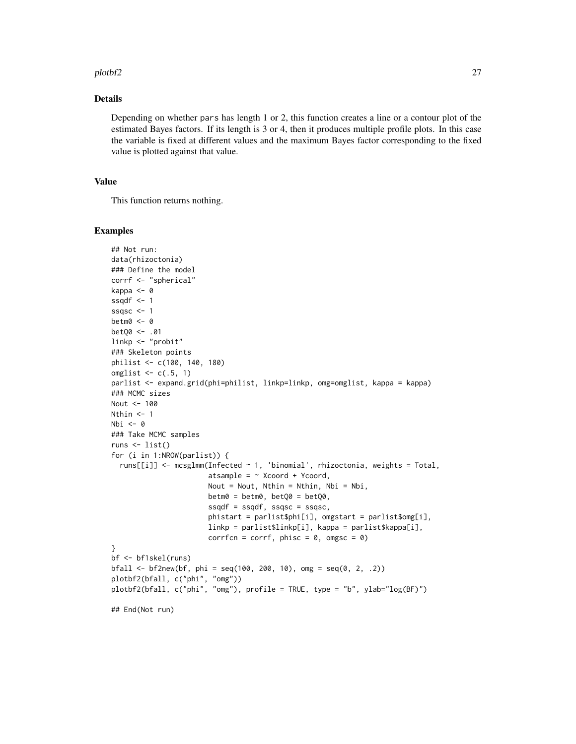#### plotbf2 27

## Details

Depending on whether pars has length 1 or 2, this function creates a line or a contour plot of the estimated Bayes factors. If its length is 3 or 4, then it produces multiple profile plots. In this case the variable is fixed at different values and the maximum Bayes factor corresponding to the fixed value is plotted against that value.

## Value

This function returns nothing.

```
## Not run:
data(rhizoctonia)
### Define the model
corrf <- "spherical"
kappa <- 0
ssqdf \leq -1ssqsc <-1betm0 <- 0
betQ0 <- .01
linkp <- "probit"
### Skeleton points
philist <- c(100, 140, 180)
omglist \leq c(.5, 1)parlist <- expand.grid(phi=philist, linkp=linkp, omg=omglist, kappa = kappa)
### MCMC sizes
Nout <- 100
Nthin <- 1
Nbi \leftarrow 0### Take MCMC samples
runs <- list()
for (i in 1:NROW(parlist)) {
  runs[[i]] <- mcsglmm(Infected ~ 1, 'binomial', rhizoctonia, weights = Total,
                       atsample = \sim Xcoord + Ycoord,
                       Nout = Nout, Nthin = Nthin, Nbi = Nbi,
                       betm0 = betm0, betQ0 = betQ0,
                       ssqdf = ssqdf, ssqsc = ssqsc,
                       phistart = parlist$phi[i], omgstart = parlist$omg[i],
                       linkp = parlist$linkp[i], kappa = parlist$kappa[i],
                       corrfcn = corrf, phisc = 0, omgsc = 0)
}
bf <- bf1skel(runs)
bfall <- bf2new(bf, phi = seq(100, 200, 10), omg = seq(0, 2, .2))
plotbf2(bfall, c("phi", "omg"))
plotbf2(bfall, c("phi", "omg"), profile = TRUE, type = "b", ylab="log(BF)")
## End(Not run)
```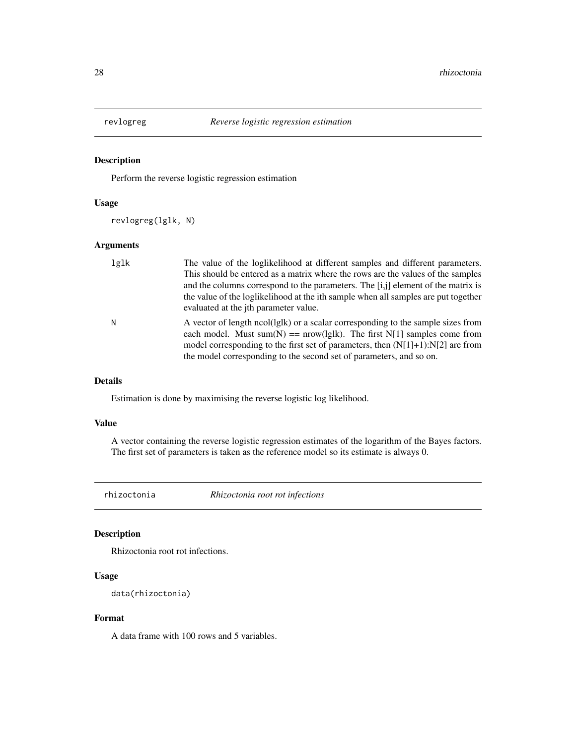<span id="page-27-0"></span>

## Description

Perform the reverse logistic regression estimation

#### Usage

revlogreg(lglk, N)

## Arguments

| lglk | The value of the loglikelihood at different samples and different parameters.<br>This should be entered as a matrix where the rows are the values of the samples<br>and the columns correspond to the parameters. The [i,j] element of the matrix is<br>the value of the loglikelihood at the ith sample when all samples are put together<br>evaluated at the jth parameter value. |
|------|-------------------------------------------------------------------------------------------------------------------------------------------------------------------------------------------------------------------------------------------------------------------------------------------------------------------------------------------------------------------------------------|
| Ν    | A vector of length ncol(lglk) or a scalar corresponding to the sample sizes from<br>each model. Must sum(N) == $nrow(lglk)$ . The first N[1] samples come from<br>model corresponding to the first set of parameters, then $(N[1]+1):N[2]$ are from<br>the model corresponding to the second set of parameters, and so on.                                                          |

#### Details

Estimation is done by maximising the reverse logistic log likelihood.

#### Value

A vector containing the reverse logistic regression estimates of the logarithm of the Bayes factors. The first set of parameters is taken as the reference model so its estimate is always 0.

rhizoctonia *Rhizoctonia root rot infections*

## Description

Rhizoctonia root rot infections.

## Usage

data(rhizoctonia)

## Format

A data frame with 100 rows and 5 variables.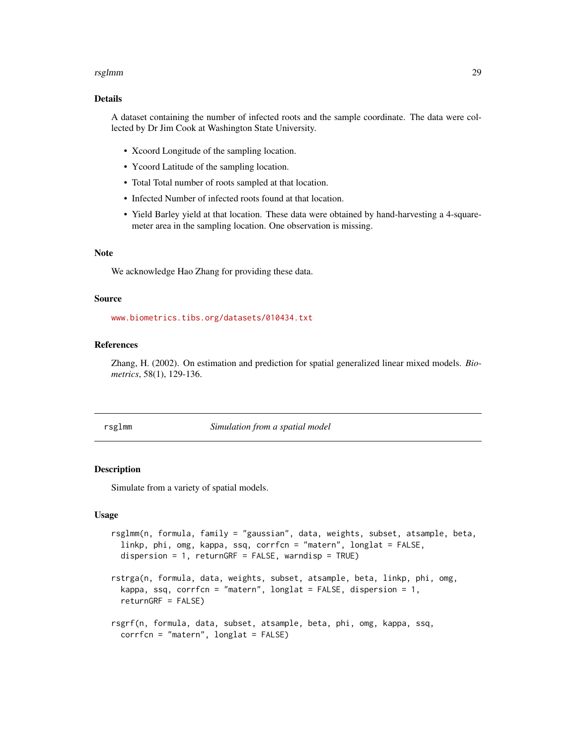#### <span id="page-28-0"></span>rsglmm 29

#### Details

A dataset containing the number of infected roots and the sample coordinate. The data were collected by Dr Jim Cook at Washington State University.

- Xcoord Longitude of the sampling location.
- Ycoord Latitude of the sampling location.
- Total Total number of roots sampled at that location.
- Infected Number of infected roots found at that location.
- Yield Barley yield at that location. These data were obtained by hand-harvesting a 4-squaremeter area in the sampling location. One observation is missing.

## Note

We acknowledge Hao Zhang for providing these data.

#### Source

<www.biometrics.tibs.org/datasets/010434.txt>

#### References

Zhang, H. (2002). On estimation and prediction for spatial generalized linear mixed models. *Biometrics*, 58(1), 129-136.

rsglmm *Simulation from a spatial model*

#### Description

Simulate from a variety of spatial models.

#### Usage

```
rsglmm(n, formula, family = "gaussian", data, weights, subset, atsample, beta,
  linkp, phi, omg, kappa, ssq, corrfcn = "matern", longlat = FALSE,
  dispersion = 1, returnGRF = FALSE, warndisp = TRUE)
rstrga(n, formula, data, weights, subset, atsample, beta, linkp, phi, omg,
  kappa, ssq, corrfcn = "matern", longlat = FALSE, dispersion = 1,
  returnGRF = FALSE)
rsgrf(n, formula, data, subset, atsample, beta, phi, omg, kappa, ssq,
```

```
corrfcn = "matern", longlat = FALSE)
```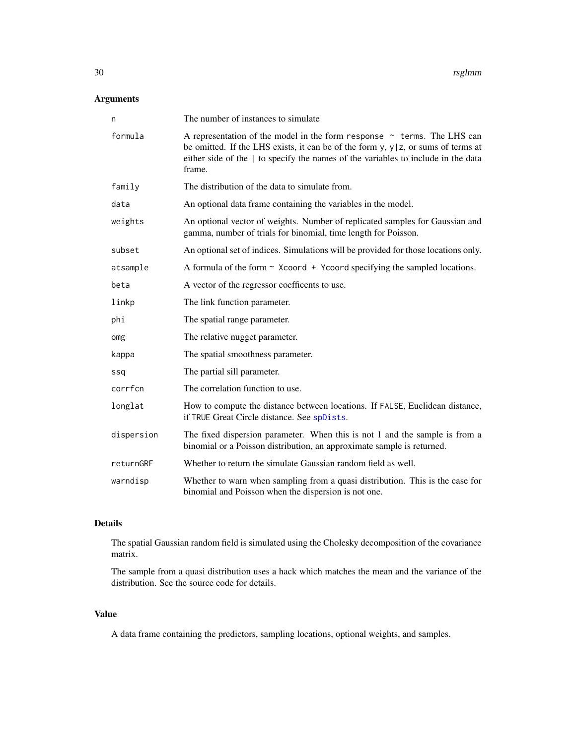## <span id="page-29-0"></span>Arguments

| n          | The number of instances to simulate                                                                                                                                                                                                                                     |
|------------|-------------------------------------------------------------------------------------------------------------------------------------------------------------------------------------------------------------------------------------------------------------------------|
| formula    | A representation of the model in the form response $\sim$ terms. The LHS can<br>be omitted. If the LHS exists, it can be of the form $y$ , $y   z$ , or sums of terms at<br>either side of the   to specify the names of the variables to include in the data<br>frame. |
| family     | The distribution of the data to simulate from.                                                                                                                                                                                                                          |
| data       | An optional data frame containing the variables in the model.                                                                                                                                                                                                           |
| weights    | An optional vector of weights. Number of replicated samples for Gaussian and<br>gamma, number of trials for binomial, time length for Poisson.                                                                                                                          |
| subset     | An optional set of indices. Simulations will be provided for those locations only.                                                                                                                                                                                      |
| atsample   | A formula of the form $\sim$ Xcoord + Ycoord specifying the sampled locations.                                                                                                                                                                                          |
| beta       | A vector of the regressor coefficents to use.                                                                                                                                                                                                                           |
| linkp      | The link function parameter.                                                                                                                                                                                                                                            |
| phi        | The spatial range parameter.                                                                                                                                                                                                                                            |
| omg        | The relative nugget parameter.                                                                                                                                                                                                                                          |
| kappa      | The spatial smoothness parameter.                                                                                                                                                                                                                                       |
| ssq        | The partial sill parameter.                                                                                                                                                                                                                                             |
| corrfcn    | The correlation function to use.                                                                                                                                                                                                                                        |
| longlat    | How to compute the distance between locations. If FALSE, Euclidean distance,<br>if TRUE Great Circle distance. See spDists.                                                                                                                                             |
| dispersion | The fixed dispersion parameter. When this is not 1 and the sample is from a<br>binomial or a Poisson distribution, an approximate sample is returned.                                                                                                                   |
| returnGRF  | Whether to return the simulate Gaussian random field as well.                                                                                                                                                                                                           |
| warndisp   | Whether to warn when sampling from a quasi distribution. This is the case for<br>binomial and Poisson when the dispersion is not one.                                                                                                                                   |

## Details

The spatial Gaussian random field is simulated using the Cholesky decomposition of the covariance matrix.

The sample from a quasi distribution uses a hack which matches the mean and the variance of the distribution. See the source code for details.

#### Value

A data frame containing the predictors, sampling locations, optional weights, and samples.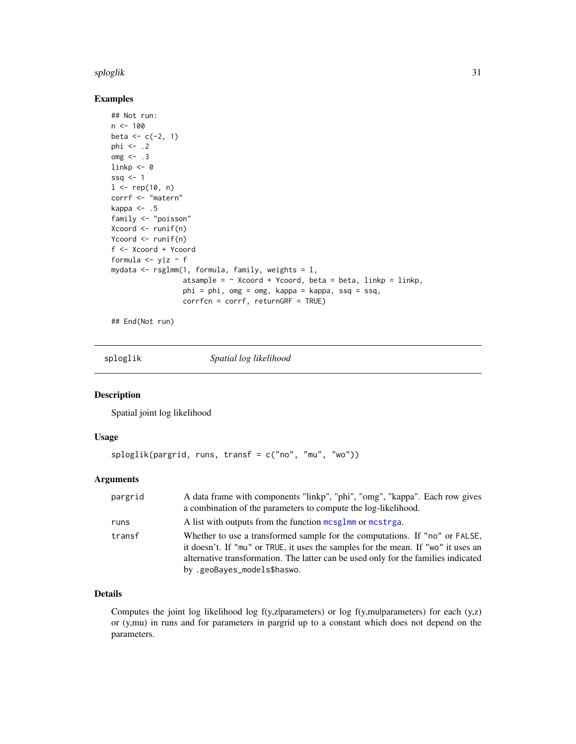#### <span id="page-30-0"></span>sploglik 31

#### Examples

```
## Not run:
n <- 100
beta <-c(-2, 1)phi <- .2
\text{omg} \leq -2.3linkp \leftarrow 0ssq <-11 \le rep(10, n)
corrf <- "matern"
kappa \leq -0.5family <- "poisson"
Xcoord <- runif(n)
Ycoord <- runif(n)
f <- Xcoord + Ycoord
formula \langle -y|z \rangle f
mydata \leq rsglmm(1, formula, family, weights = 1,
                  atsample = \sim Xcoord + Ycoord, beta = beta, linkp = linkp,
                  phi = phi, omg = omg, kappa = kappa, ssq = ssq,
                  corrfcn = corrf, returnGRF = TRUE)
```
## End(Not run)

sploglik *Spatial log likelihood*

#### Description

Spatial joint log likelihood

## Usage

```
sploglik(pargrid, runs, transf = c("no", "mu", "wo"))
```
#### Arguments

| pargrid | A data frame with components "linkp", "phi", "omg", "kappa". Each row gives<br>a combination of the parameters to compute the log-likelihood.                                                                                                                                         |
|---------|---------------------------------------------------------------------------------------------------------------------------------------------------------------------------------------------------------------------------------------------------------------------------------------|
| runs    | A list with outputs from the function mcsglmm or mcstrga.                                                                                                                                                                                                                             |
| transf  | Whether to use a transformed sample for the computations. If "no" or FALSE,<br>it doesn't. If "mu" or TRUE, it uses the samples for the mean. If "wo" it uses an<br>alternative transformation. The latter can be used only for the families indicated<br>by .geoBayes_models\$haswo. |

## Details

Computes the joint log likelihood log f(y,z|parameters) or log f(y,mu|parameters) for each (y,z) or (y,mu) in runs and for parameters in pargrid up to a constant which does not depend on the parameters.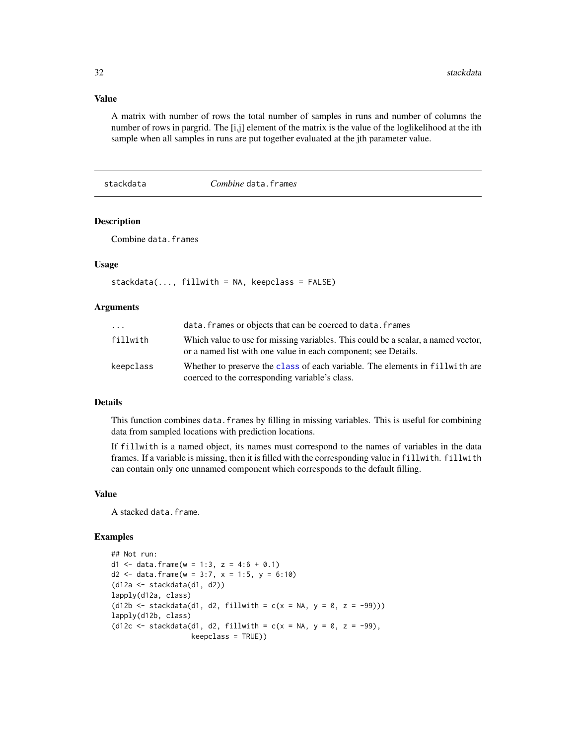## Value

A matrix with number of rows the total number of samples in runs and number of columns the number of rows in pargrid. The [i,j] element of the matrix is the value of the loglikelihood at the ith sample when all samples in runs are put together evaluated at the jth parameter value.

## <span id="page-31-1"></span>stackdata *Combine* data.frame*s*

## **Description**

Combine data.frames

#### Usage

```
stackdata(..., fillwith = NA, keepclass = FALSE)
```
#### Arguments

| $\cdots$  | data. frames or objects that can be coerced to data. frames                                                                                         |
|-----------|-----------------------------------------------------------------------------------------------------------------------------------------------------|
| fillwith  | Which value to use for missing variables. This could be a scalar, a named vector,<br>or a named list with one value in each component; see Details. |
| keepclass | Whether to preserve the class of each variable. The elements in fillwith are<br>coerced to the corresponding variable's class.                      |

## Details

This function combines data.frames by filling in missing variables. This is useful for combining data from sampled locations with prediction locations.

If fillwith is a named object, its names must correspond to the names of variables in the data frames. If a variable is missing, then it is filled with the corresponding value in fillwith. fillwith can contain only one unnamed component which corresponds to the default filling.

#### Value

A stacked data.frame.

```
## Not run:
d1 <- data.frame(w = 1:3, z = 4:6 + 0.1)
d2 <- data.frame(w = 3:7, x = 1:5, y = 6:10)
(d12a <- stackdata(d1, d2))
lapply(d12a, class)
(d12b \leq -\text{stackdata}(d1, d2, \text{fillwith} = c(x = NA, y = 0, z = -99)))lapply(d12b, class)
(d12c <- stackdata(d1, d2, fillwith = c(x = NA, y = 0, z = -99),
                    keepclass = TRUE))
```
<span id="page-31-0"></span>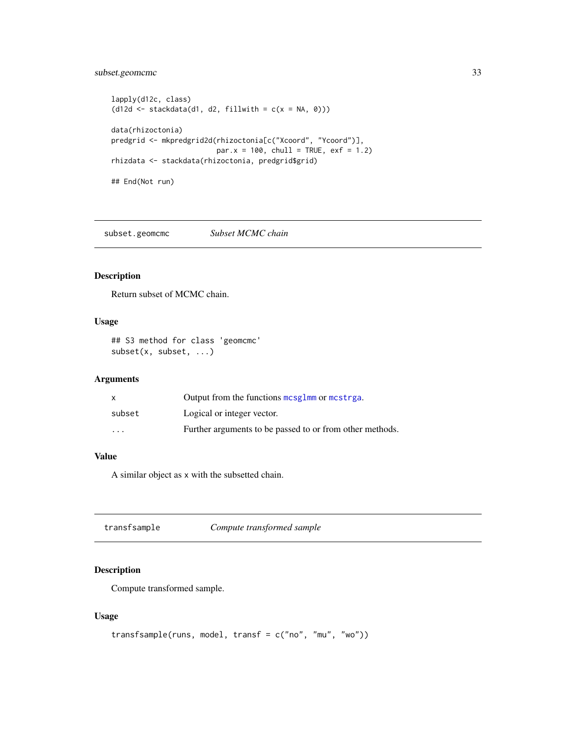## <span id="page-32-0"></span>subset.geomcmc 33

```
lapply(d12c, class)
(d12d \leftarrow \text{stackdata}(d1, d2, \text{fillwith} = c(x = NA, 0)))data(rhizoctonia)
predgrid <- mkpredgrid2d(rhizoctonia[c("Xcoord", "Ycoord")],
                           par.x = 100, chull = TRUE, exf = 1.2)
rhizdata <- stackdata(rhizoctonia, predgrid$grid)
## End(Not run)
```
subset.geomcmc *Subset MCMC chain*

## Description

Return subset of MCMC chain.

## Usage

## S3 method for class 'geomcmc' subset(x, subset, ...)

#### Arguments

|                         | Output from the functions mesglmm or mestrga.            |
|-------------------------|----------------------------------------------------------|
| subset                  | Logical or integer vector.                               |
| $\cdot$ $\cdot$ $\cdot$ | Further arguments to be passed to or from other methods. |

## Value

A similar object as x with the subsetted chain.

transfsample *Compute transformed sample*

## Description

Compute transformed sample.

## Usage

```
transfsample(runs, model, transf = c("no", "mu", "wo"))
```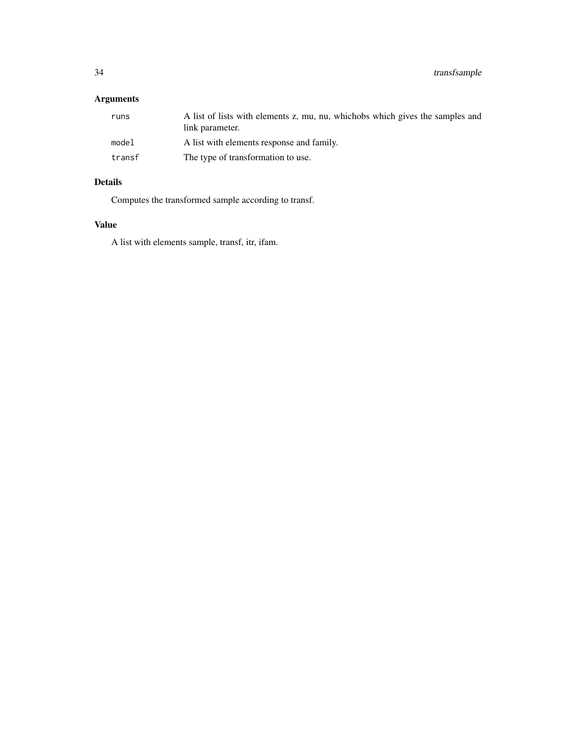## Arguments

| runs   | A list of lists with elements z, mu, nu, whichobs which gives the samples and<br>link parameter. |
|--------|--------------------------------------------------------------------------------------------------|
| model  | A list with elements response and family.                                                        |
| transf | The type of transformation to use.                                                               |

## Details

Computes the transformed sample according to transf.

## Value

A list with elements sample, transf, itr, ifam.